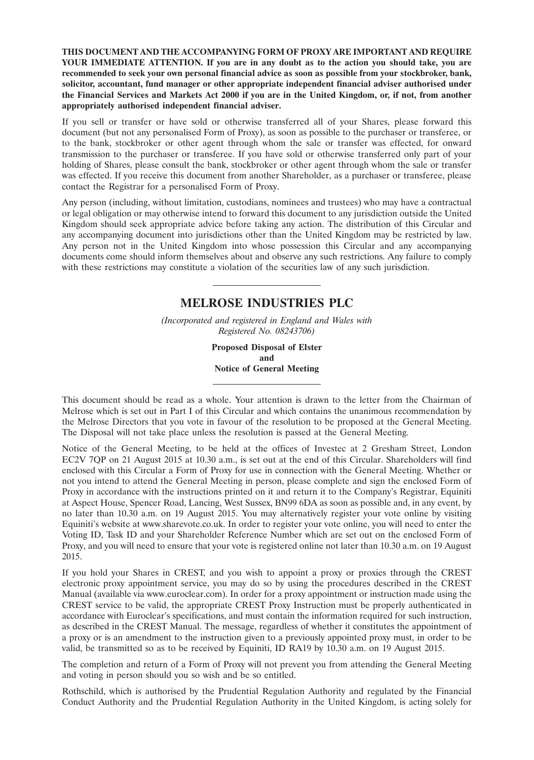**THIS DOCUMENT AND THE ACCOMPANYING FORM OF PROXY ARE IMPORTANT AND REQUIRE YOUR IMMEDIATE ATTENTION. If you are in any doubt as to the action you should take, you are recommended to seek your own personal financial advice as soon as possible from your stockbroker, bank, solicitor, accountant, fund manager or other appropriate independent financial adviser authorised under the Financial Services and Markets Act 2000 if you are in the United Kingdom, or, if not, from another appropriately authorised independent financial adviser.**

If you sell or transfer or have sold or otherwise transferred all of your Shares, please forward this document (but not any personalised Form of Proxy), as soon as possible to the purchaser or transferee, or to the bank, stockbroker or other agent through whom the sale or transfer was effected, for onward transmission to the purchaser or transferee. If you have sold or otherwise transferred only part of your holding of Shares, please consult the bank, stockbroker or other agent through whom the sale or transfer was effected. If you receive this document from another Shareholder, as a purchaser or transferee, please contact the Registrar for a personalised Form of Proxy.

Any person (including, without limitation, custodians, nominees and trustees) who may have a contractual or legal obligation or may otherwise intend to forward this document to any jurisdiction outside the United Kingdom should seek appropriate advice before taking any action. The distribution of this Circular and any accompanying document into jurisdictions other than the United Kingdom may be restricted by law. Any person not in the United Kingdom into whose possession this Circular and any accompanying documents come should inform themselves about and observe any such restrictions. Any failure to comply with these restrictions may constitute a violation of the securities law of any such jurisdiction.

# **MELROSE INDUSTRIES PLC**

*(Incorporated and registered in England and Wales with Registered No. 08243706)*

> **Proposed Disposal of Elster and Notice of General Meeting**

This document should be read as a whole. Your attention is drawn to the letter from the Chairman of Melrose which is set out in Part I of this Circular and which contains the unanimous recommendation by the Melrose Directors that you vote in favour of the resolution to be proposed at the General Meeting. The Disposal will not take place unless the resolution is passed at the General Meeting.

Notice of the General Meeting, to be held at the offices of Investec at 2 Gresham Street, London EC2V 7QP on 21 August 2015 at 10.30 a.m., is set out at the end of this Circular. Shareholders will find enclosed with this Circular a Form of Proxy for use in connection with the General Meeting. Whether or not you intend to attend the General Meeting in person, please complete and sign the enclosed Form of Proxy in accordance with the instructions printed on it and return it to the Company's Registrar, Equiniti at Aspect House, Spencer Road, Lancing, West Sussex, BN99 6DA as soon as possible and, in any event, by no later than 10.30 a.m. on 19 August 2015. You may alternatively register your vote online by visiting Equiniti's website at www.sharevote.co.uk. In order to register your vote online, you will need to enter the Voting ID, Task ID and your Shareholder Reference Number which are set out on the enclosed Form of Proxy, and you will need to ensure that your vote is registered online not later than 10.30 a.m. on 19 August 2015.

If you hold your Shares in CREST, and you wish to appoint a proxy or proxies through the CREST electronic proxy appointment service, you may do so by using the procedures described in the CREST Manual (available via www.euroclear.com). In order for a proxy appointment or instruction made using the CREST service to be valid, the appropriate CREST Proxy Instruction must be properly authenticated in accordance with Euroclear's specifications, and must contain the information required for such instruction, as described in the CREST Manual. The message, regardless of whether it constitutes the appointment of a proxy or is an amendment to the instruction given to a previously appointed proxy must, in order to be valid, be transmitted so as to be received by Equiniti, ID RA19 by 10.30 a.m. on 19 August 2015.

The completion and return of a Form of Proxy will not prevent you from attending the General Meeting and voting in person should you so wish and be so entitled.

Rothschild, which is authorised by the Prudential Regulation Authority and regulated by the Financial Conduct Authority and the Prudential Regulation Authority in the United Kingdom, is acting solely for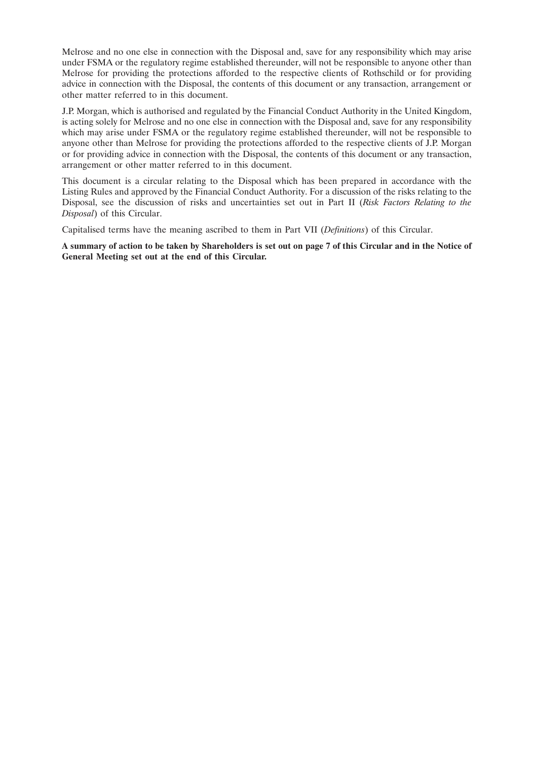Melrose and no one else in connection with the Disposal and, save for any responsibility which may arise under FSMA or the regulatory regime established thereunder, will not be responsible to anyone other than Melrose for providing the protections afforded to the respective clients of Rothschild or for providing advice in connection with the Disposal, the contents of this document or any transaction, arrangement or other matter referred to in this document.

J.P. Morgan, which is authorised and regulated by the Financial Conduct Authority in the United Kingdom, is acting solely for Melrose and no one else in connection with the Disposal and, save for any responsibility which may arise under FSMA or the regulatory regime established thereunder, will not be responsible to anyone other than Melrose for providing the protections afforded to the respective clients of J.P. Morgan or for providing advice in connection with the Disposal, the contents of this document or any transaction, arrangement or other matter referred to in this document.

This document is a circular relating to the Disposal which has been prepared in accordance with the Listing Rules and approved by the Financial Conduct Authority. For a discussion of the risks relating to the Disposal, see the discussion of risks and uncertainties set out in Part II (*Risk Factors Relating to the Disposal*) of this Circular.

Capitalised terms have the meaning ascribed to them in Part VII (*Definitions*) of this Circular.

**A summary of action to be taken by Shareholders is set out on page 7 of this Circular and in the Notice of General Meeting set out at the end of this Circular.**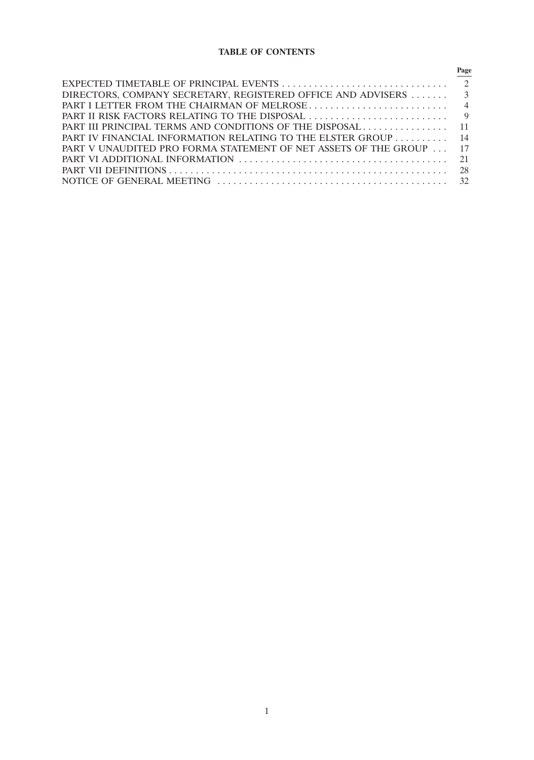# **TABLE OF CONTENTS**

|                                                                     | Page |
|---------------------------------------------------------------------|------|
|                                                                     |      |
| DIRECTORS, COMPANY SECRETARY, REGISTERED OFFICE AND ADVISERS  3     |      |
|                                                                     |      |
|                                                                     |      |
|                                                                     |      |
| PART IV FINANCIAL INFORMATION RELATING TO THE ELSTER GROUP 14       |      |
| PART V UNAUDITED PRO FORMA STATEMENT OF NET ASSETS OF THE GROUP  17 |      |
|                                                                     |      |
|                                                                     |      |
|                                                                     |      |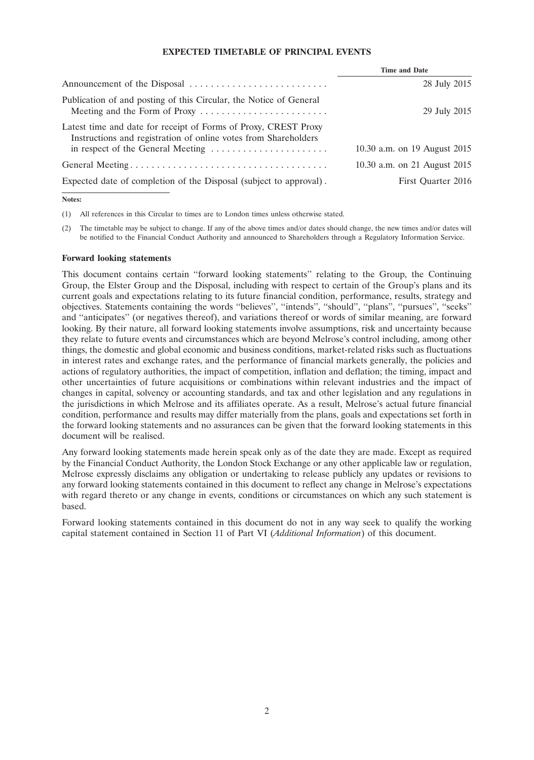### **EXPECTED TIMETABLE OF PRINCIPAL EVENTS**

|                                                                                                                                    | <b>Time and Date</b>         |
|------------------------------------------------------------------------------------------------------------------------------------|------------------------------|
|                                                                                                                                    | 28 July 2015                 |
| Publication of and posting of this Circular, the Notice of General                                                                 | 29 July 2015                 |
| Latest time and date for receipt of Forms of Proxy, CREST Proxy<br>Instructions and registration of online votes from Shareholders | 10.30 a.m. on 19 August 2015 |
|                                                                                                                                    | 10.30 a.m. on 21 August 2015 |
| Expected date of completion of the Disposal (subject to approval).                                                                 | First Quarter 2016           |

**Notes:**

(1) All references in this Circular to times are to London times unless otherwise stated.

(2) The timetable may be subject to change. If any of the above times and/or dates should change, the new times and/or dates will be notified to the Financial Conduct Authority and announced to Shareholders through a Regulatory Information Service.

#### **Forward looking statements**

This document contains certain ''forward looking statements'' relating to the Group, the Continuing Group, the Elster Group and the Disposal, including with respect to certain of the Group's plans and its current goals and expectations relating to its future financial condition, performance, results, strategy and objectives. Statements containing the words ''believes'', ''intends'', ''should'', ''plans'', ''pursues'', ''seeks'' and ''anticipates'' (or negatives thereof), and variations thereof or words of similar meaning, are forward looking. By their nature, all forward looking statements involve assumptions, risk and uncertainty because they relate to future events and circumstances which are beyond Melrose's control including, among other things, the domestic and global economic and business conditions, market-related risks such as fluctuations in interest rates and exchange rates, and the performance of financial markets generally, the policies and actions of regulatory authorities, the impact of competition, inflation and deflation; the timing, impact and other uncertainties of future acquisitions or combinations within relevant industries and the impact of changes in capital, solvency or accounting standards, and tax and other legislation and any regulations in the jurisdictions in which Melrose and its affiliates operate. As a result, Melrose's actual future financial condition, performance and results may differ materially from the plans, goals and expectations set forth in the forward looking statements and no assurances can be given that the forward looking statements in this document will be realised.

Any forward looking statements made herein speak only as of the date they are made. Except as required by the Financial Conduct Authority, the London Stock Exchange or any other applicable law or regulation, Melrose expressly disclaims any obligation or undertaking to release publicly any updates or revisions to any forward looking statements contained in this document to reflect any change in Melrose's expectations with regard thereto or any change in events, conditions or circumstances on which any such statement is based.

Forward looking statements contained in this document do not in any way seek to qualify the working capital statement contained in Section 11 of Part VI (*Additional Information*) of this document.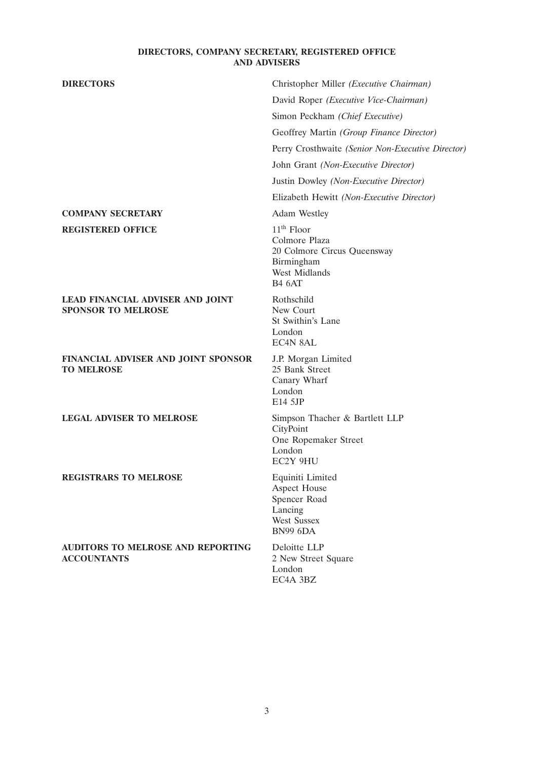# **DIRECTORS, COMPANY SECRETARY, REGISTERED OFFICE AND ADVISERS**

| <b>DIRECTORS</b>                                                     | Christopher Miller (Executive Chairman)                                                                      |
|----------------------------------------------------------------------|--------------------------------------------------------------------------------------------------------------|
|                                                                      | David Roper (Executive Vice-Chairman)                                                                        |
|                                                                      | Simon Peckham (Chief Executive)                                                                              |
|                                                                      | Geoffrey Martin (Group Finance Director)                                                                     |
|                                                                      | Perry Crosthwaite (Senior Non-Executive Director)                                                            |
|                                                                      | John Grant (Non-Executive Director)                                                                          |
|                                                                      | Justin Dowley (Non-Executive Director)                                                                       |
|                                                                      | Elizabeth Hewitt (Non-Executive Director)                                                                    |
| <b>COMPANY SECRETARY</b>                                             | Adam Westley                                                                                                 |
| <b>REGISTERED OFFICE</b>                                             | $11th$ Floor<br>Colmore Plaza<br>20 Colmore Circus Queensway<br>Birmingham<br>West Midlands<br><b>B4 6AT</b> |
| <b>LEAD FINANCIAL ADVISER AND JOINT</b><br><b>SPONSOR TO MELROSE</b> | Rothschild<br>New Court<br>St Swithin's Lane<br>London<br><b>EC4N 8AL</b>                                    |
| FINANCIAL ADVISER AND JOINT SPONSOR<br><b>TO MELROSE</b>             | J.P. Morgan Limited<br>25 Bank Street<br>Canary Wharf<br>London<br>E14 5JP                                   |
| <b>LEGAL ADVISER TO MELROSE</b>                                      | Simpson Thacher & Bartlett LLP<br>CityPoint<br>One Ropemaker Street<br>London<br>EC2Y 9HU                    |
| <b>REGISTRARS TO MELROSE</b>                                         | Equiniti Limited<br>Aspect House<br>Spencer Road<br>Lancing<br><b>West Sussex</b><br><b>BN99 6DA</b>         |
| <b>AUDITORS TO MELROSE AND REPORTING</b><br><b>ACCOUNTANTS</b>       | Deloitte LLP<br>2 New Street Square<br>London<br>EC4A 3BZ                                                    |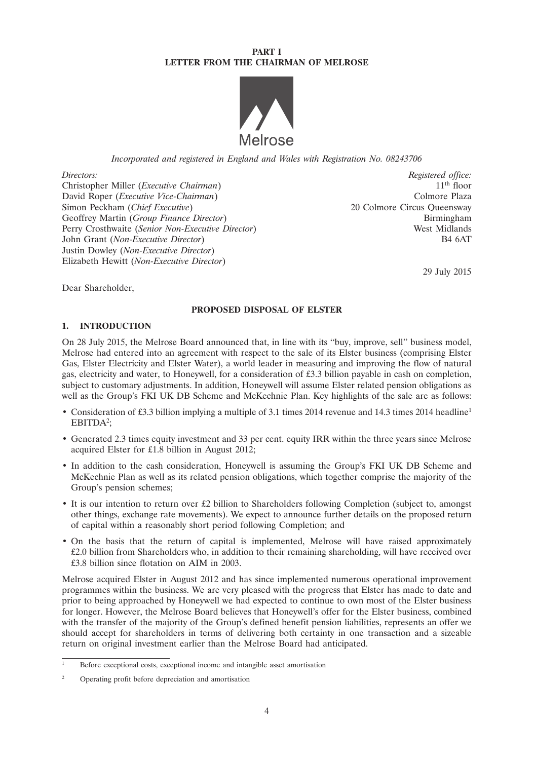# **PART I LETTER FROM THE CHAIRMAN OF MELROSE**



*Incorporated and registered in England and Wales with Registration No. 08243706*

Christopher Miller (*Executive Chairman*) 11<sup>th</sup> floor<br>David Roper (*Executive Vice-Chairman*) Colmore Plaza David Roper (*Executive Vice-Chairman*) Simon Peckham (*Chief Executive*) 20 Colmore Circus Queensway Geoffrey Martin (*Group Finance Director*) **Birmingham**<br>
Perry Crosthwaite (*Senior Non-Executive Director*) **Birmingham**<br>
West Midlands Perry Crosthwaite (*Senior Non-Executive Director*) West Midlands<br>
John Grant (*Non-Executive Director*) B4 6AT John Grant (*Non-Executive Director*) Justin Dowley (*Non-Executive Director*) Elizabeth Hewitt (*Non-Executive Director*)

*Directors: Registered office:*

29 July 2015

Dear Shareholder,

# **PROPOSED DISPOSAL OF ELSTER**

# **1. INTRODUCTION**

On 28 July 2015, the Melrose Board announced that, in line with its ''buy, improve, sell'' business model, Melrose had entered into an agreement with respect to the sale of its Elster business (comprising Elster Gas, Elster Electricity and Elster Water), a world leader in measuring and improving the flow of natural gas, electricity and water, to Honeywell, for a consideration of £3.3 billion payable in cash on completion, subject to customary adjustments. In addition, Honeywell will assume Elster related pension obligations as well as the Group's FKI UK DB Scheme and McKechnie Plan. Key highlights of the sale are as follows:

- Consideration of £3.3 billion implying a multiple of 3.1 times 2014 revenue and 14.3 times 2014 headline<sup>1</sup>  $EBITDA<sup>2</sup>$ ;
- Generated 2.3 times equity investment and 33 per cent. equity IRR within the three years since Melrose acquired Elster for £1.8 billion in August 2012;
- In addition to the cash consideration, Honeywell is assuming the Group's FKI UK DB Scheme and McKechnie Plan as well as its related pension obligations, which together comprise the majority of the Group's pension schemes;
- It is our intention to return over £2 billion to Shareholders following Completion (subject to, amongst other things, exchange rate movements). We expect to announce further details on the proposed return of capital within a reasonably short period following Completion; and
- On the basis that the return of capital is implemented, Melrose will have raised approximately £2.0 billion from Shareholders who, in addition to their remaining shareholding, will have received over £3.8 billion since flotation on AIM in 2003.

Melrose acquired Elster in August 2012 and has since implemented numerous operational improvement programmes within the business. We are very pleased with the progress that Elster has made to date and prior to being approached by Honeywell we had expected to continue to own most of the Elster business for longer. However, the Melrose Board believes that Honeywell's offer for the Elster business, combined with the transfer of the majority of the Group's defined benefit pension liabilities, represents an offer we should accept for shareholders in terms of delivering both certainty in one transaction and a sizeable return on original investment earlier than the Melrose Board had anticipated.

<sup>1</sup> Before exceptional costs, exceptional income and intangible asset amortisation

<sup>2</sup> Operating profit before depreciation and amortisation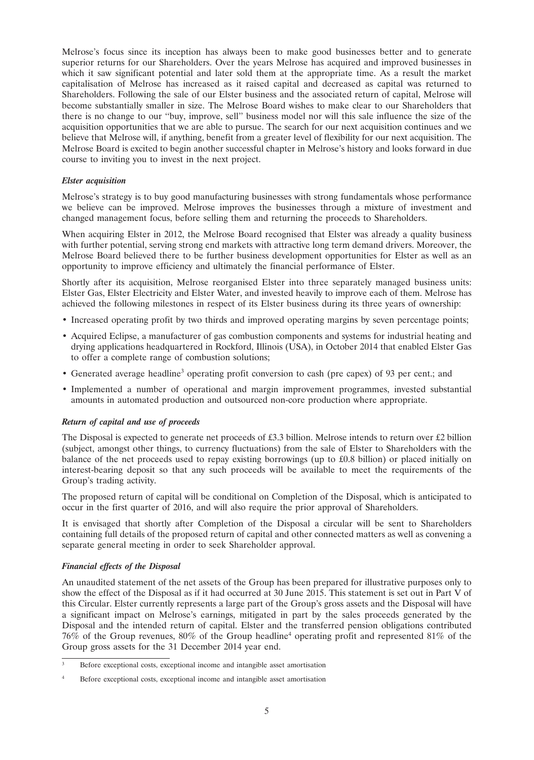Melrose's focus since its inception has always been to make good businesses better and to generate superior returns for our Shareholders. Over the years Melrose has acquired and improved businesses in which it saw significant potential and later sold them at the appropriate time. As a result the market capitalisation of Melrose has increased as it raised capital and decreased as capital was returned to Shareholders. Following the sale of our Elster business and the associated return of capital, Melrose will become substantially smaller in size. The Melrose Board wishes to make clear to our Shareholders that there is no change to our ''buy, improve, sell'' business model nor will this sale influence the size of the acquisition opportunities that we are able to pursue. The search for our next acquisition continues and we believe that Melrose will, if anything, benefit from a greater level of flexibility for our next acquisition. The Melrose Board is excited to begin another successful chapter in Melrose's history and looks forward in due course to inviting you to invest in the next project.

# *Elster acquisition*

Melrose's strategy is to buy good manufacturing businesses with strong fundamentals whose performance we believe can be improved. Melrose improves the businesses through a mixture of investment and changed management focus, before selling them and returning the proceeds to Shareholders.

When acquiring Elster in 2012, the Melrose Board recognised that Elster was already a quality business with further potential, serving strong end markets with attractive long term demand drivers. Moreover, the Melrose Board believed there to be further business development opportunities for Elster as well as an opportunity to improve efficiency and ultimately the financial performance of Elster.

Shortly after its acquisition, Melrose reorganised Elster into three separately managed business units: Elster Gas, Elster Electricity and Elster Water, and invested heavily to improve each of them. Melrose has achieved the following milestones in respect of its Elster business during its three years of ownership:

- Increased operating profit by two thirds and improved operating margins by seven percentage points;
- Acquired Eclipse, a manufacturer of gas combustion components and systems for industrial heating and drying applications headquartered in Rockford, Illinois (USA), in October 2014 that enabled Elster Gas to offer a complete range of combustion solutions;
- Generated average headline<sup>3</sup> operating profit conversion to cash (pre capex) of 93 per cent.; and
- Implemented a number of operational and margin improvement programmes, invested substantial amounts in automated production and outsourced non-core production where appropriate.

# *Return of capital and use of proceeds*

The Disposal is expected to generate net proceeds of £3.3 billion. Melrose intends to return over £2 billion (subject, amongst other things, to currency fluctuations) from the sale of Elster to Shareholders with the balance of the net proceeds used to repay existing borrowings (up to £0.8 billion) or placed initially on interest-bearing deposit so that any such proceeds will be available to meet the requirements of the Group's trading activity.

The proposed return of capital will be conditional on Completion of the Disposal, which is anticipated to occur in the first quarter of 2016, and will also require the prior approval of Shareholders.

It is envisaged that shortly after Completion of the Disposal a circular will be sent to Shareholders containing full details of the proposed return of capital and other connected matters as well as convening a separate general meeting in order to seek Shareholder approval.

# *Financial effects of the Disposal*

An unaudited statement of the net assets of the Group has been prepared for illustrative purposes only to show the effect of the Disposal as if it had occurred at 30 June 2015. This statement is set out in Part V of this Circular. Elster currently represents a large part of the Group's gross assets and the Disposal will have a significant impact on Melrose's earnings, mitigated in part by the sales proceeds generated by the Disposal and the intended return of capital. Elster and the transferred pension obligations contributed 76% of the Group revenues, 80% of the Group headline<sup>4</sup> operating profit and represented 81% of the Group gross assets for the 31 December 2014 year end.

Before exceptional costs, exceptional income and intangible asset amortisation

Before exceptional costs, exceptional income and intangible asset amortisation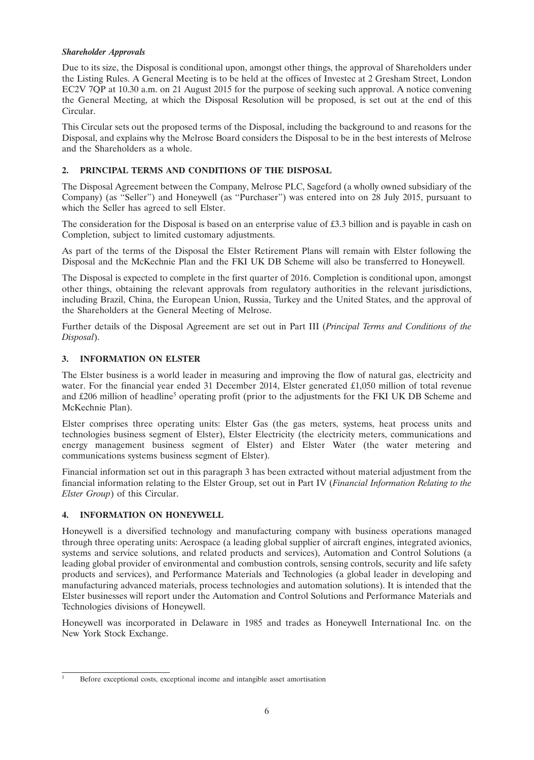# *Shareholder Approvals*

Due to its size, the Disposal is conditional upon, amongst other things, the approval of Shareholders under the Listing Rules. A General Meeting is to be held at the offices of Investec at 2 Gresham Street, London EC2V 7QP at 10.30 a.m. on 21 August 2015 for the purpose of seeking such approval. A notice convening the General Meeting, at which the Disposal Resolution will be proposed, is set out at the end of this Circular.

This Circular sets out the proposed terms of the Disposal, including the background to and reasons for the Disposal, and explains why the Melrose Board considers the Disposal to be in the best interests of Melrose and the Shareholders as a whole.

# **2. PRINCIPAL TERMS AND CONDITIONS OF THE DISPOSAL**

The Disposal Agreement between the Company, Melrose PLC, Sageford (a wholly owned subsidiary of the Company) (as ''Seller'') and Honeywell (as ''Purchaser'') was entered into on 28 July 2015, pursuant to which the Seller has agreed to sell Elster.

The consideration for the Disposal is based on an enterprise value of £3.3 billion and is payable in cash on Completion, subject to limited customary adjustments.

As part of the terms of the Disposal the Elster Retirement Plans will remain with Elster following the Disposal and the McKechnie Plan and the FKI UK DB Scheme will also be transferred to Honeywell.

The Disposal is expected to complete in the first quarter of 2016. Completion is conditional upon, amongst other things, obtaining the relevant approvals from regulatory authorities in the relevant jurisdictions, including Brazil, China, the European Union, Russia, Turkey and the United States, and the approval of the Shareholders at the General Meeting of Melrose.

Further details of the Disposal Agreement are set out in Part III (*Principal Terms and Conditions of the Disposal*).

# **3. INFORMATION ON ELSTER**

The Elster business is a world leader in measuring and improving the flow of natural gas, electricity and water. For the financial year ended 31 December 2014, Elster generated £1,050 million of total revenue and £206 million of headline<sup>5</sup> operating profit (prior to the adjustments for the FKI UK DB Scheme and McKechnie Plan).

Elster comprises three operating units: Elster Gas (the gas meters, systems, heat process units and technologies business segment of Elster), Elster Electricity (the electricity meters, communications and energy management business segment of Elster) and Elster Water (the water metering and communications systems business segment of Elster).

Financial information set out in this paragraph 3 has been extracted without material adjustment from the financial information relating to the Elster Group, set out in Part IV (*Financial Information Relating to the Elster Group*) of this Circular.

# **4. INFORMATION ON HONEYWELL**

Honeywell is a diversified technology and manufacturing company with business operations managed through three operating units: Aerospace (a leading global supplier of aircraft engines, integrated avionics, systems and service solutions, and related products and services), Automation and Control Solutions (a leading global provider of environmental and combustion controls, sensing controls, security and life safety products and services), and Performance Materials and Technologies (a global leader in developing and manufacturing advanced materials, process technologies and automation solutions). It is intended that the Elster businesses will report under the Automation and Control Solutions and Performance Materials and Technologies divisions of Honeywell.

Honeywell was incorporated in Delaware in 1985 and trades as Honeywell International Inc. on the New York Stock Exchange.

<sup>5</sup> Before exceptional costs, exceptional income and intangible asset amortisation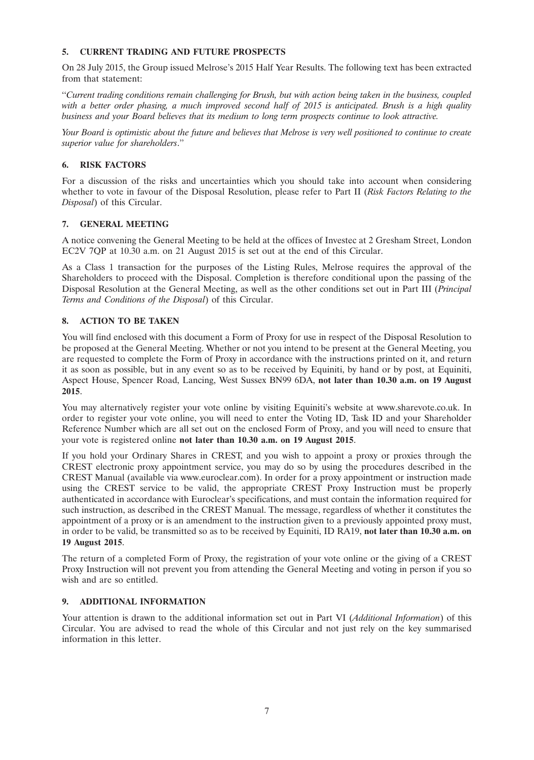# **5. CURRENT TRADING AND FUTURE PROSPECTS**

On 28 July 2015, the Group issued Melrose's 2015 Half Year Results. The following text has been extracted from that statement:

''*Current trading conditions remain challenging for Brush, but with action being taken in the business, coupled with a better order phasing, a much improved second half of 2015 is anticipated. Brush is a high quality business and your Board believes that its medium to long term prospects continue to look attractive.*

*Your Board is optimistic about the future and believes that Melrose is very well positioned to continue to create superior value for shareholders*.''

# **6. RISK FACTORS**

For a discussion of the risks and uncertainties which you should take into account when considering whether to vote in favour of the Disposal Resolution, please refer to Part II (*Risk Factors Relating to the Disposal*) of this Circular.

# **7. GENERAL MEETING**

A notice convening the General Meeting to be held at the offices of Investec at 2 Gresham Street, London EC2V 7QP at 10.30 a.m. on 21 August 2015 is set out at the end of this Circular.

As a Class 1 transaction for the purposes of the Listing Rules, Melrose requires the approval of the Shareholders to proceed with the Disposal. Completion is therefore conditional upon the passing of the Disposal Resolution at the General Meeting, as well as the other conditions set out in Part III (*Principal Terms and Conditions of the Disposal*) of this Circular.

# **8. ACTION TO BE TAKEN**

You will find enclosed with this document a Form of Proxy for use in respect of the Disposal Resolution to be proposed at the General Meeting. Whether or not you intend to be present at the General Meeting, you are requested to complete the Form of Proxy in accordance with the instructions printed on it, and return it as soon as possible, but in any event so as to be received by Equiniti, by hand or by post, at Equiniti, Aspect House, Spencer Road, Lancing, West Sussex BN99 6DA, **not later than 10.30 a.m. on 19 August 2015**.

You may alternatively register your vote online by visiting Equiniti's website at www.sharevote.co.uk. In order to register your vote online, you will need to enter the Voting ID, Task ID and your Shareholder Reference Number which are all set out on the enclosed Form of Proxy, and you will need to ensure that your vote is registered online **not later than 10.30 a.m. on 19 August 2015**.

If you hold your Ordinary Shares in CREST, and you wish to appoint a proxy or proxies through the CREST electronic proxy appointment service, you may do so by using the procedures described in the CREST Manual (available via www.euroclear.com). In order for a proxy appointment or instruction made using the CREST service to be valid, the appropriate CREST Proxy Instruction must be properly authenticated in accordance with Euroclear's specifications, and must contain the information required for such instruction, as described in the CREST Manual. The message, regardless of whether it constitutes the appointment of a proxy or is an amendment to the instruction given to a previously appointed proxy must, in order to be valid, be transmitted so as to be received by Equiniti, ID RA19, **not later than 10.30 a.m. on 19 August 2015**.

The return of a completed Form of Proxy, the registration of your vote online or the giving of a CREST Proxy Instruction will not prevent you from attending the General Meeting and voting in person if you so wish and are so entitled.

# **9. ADDITIONAL INFORMATION**

Your attention is drawn to the additional information set out in Part VI (*Additional Information*) of this Circular. You are advised to read the whole of this Circular and not just rely on the key summarised information in this letter.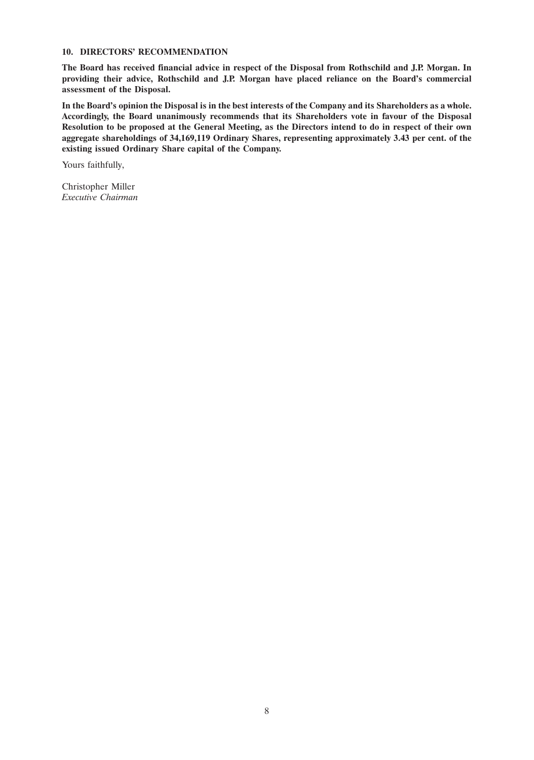## **10. DIRECTORS' RECOMMENDATION**

**The Board has received financial advice in respect of the Disposal from Rothschild and J.P. Morgan. In providing their advice, Rothschild and J.P. Morgan have placed reliance on the Board's commercial assessment of the Disposal.**

**In the Board's opinion the Disposal is in the best interests of the Company and its Shareholders as a whole. Accordingly, the Board unanimously recommends that its Shareholders vote in favour of the Disposal Resolution to be proposed at the General Meeting, as the Directors intend to do in respect of their own aggregate shareholdings of 34,169,119 Ordinary Shares, representing approximately 3.43 per cent. of the existing issued Ordinary Share capital of the Company.**

Yours faithfully,

Christopher Miller *Executive Chairman*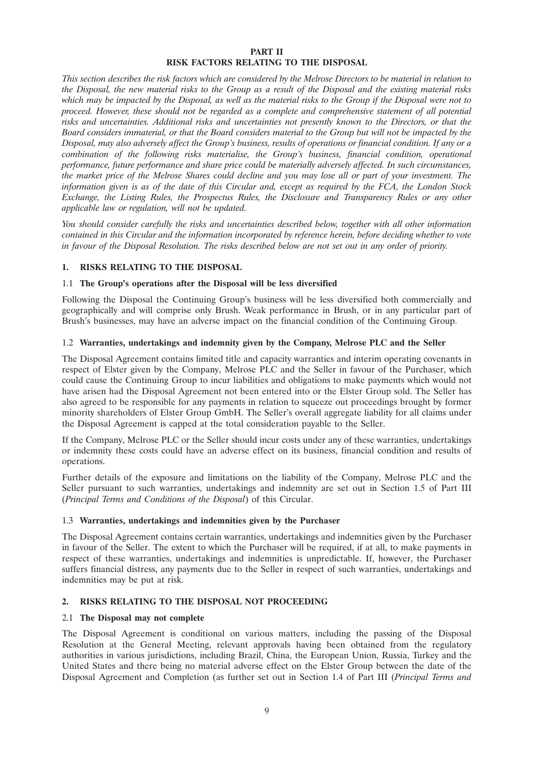#### **PART II RISK FACTORS RELATING TO THE DISPOSAL**

*This section describes the risk factors which are considered by the Melrose Directors to be material in relation to the Disposal, the new material risks to the Group as a result of the Disposal and the existing material risks which may be impacted by the Disposal, as well as the material risks to the Group if the Disposal were not to proceed. However, these should not be regarded as a complete and comprehensive statement of all potential risks and uncertainties. Additional risks and uncertainties not presently known to the Directors, or that the Board considers immaterial, or that the Board considers material to the Group but will not be impacted by the Disposal, may also adversely affect the Group's business, results of operations or financial condition. If any or a combination of the following risks materialise, the Group's business, financial condition, operational performance, future performance and share price could be materially adversely affected. In such circumstances, the market price of the Melrose Shares could decline and you may lose all or part of your investment. The information given is as of the date of this Circular and, except as required by the FCA, the London Stock Exchange, the Listing Rules, the Prospectus Rules, the Disclosure and Transparency Rules or any other applicable law or regulation, will not be updated.*

*You should consider carefully the risks and uncertainties described below, together with all other information contained in this Circular and the information incorporated by reference herein, before deciding whether to vote in favour of the Disposal Resolution. The risks described below are not set out in any order of priority.*

# **1. RISKS RELATING TO THE DISPOSAL**

# 1.1 **The Group's operations after the Disposal will be less diversified**

Following the Disposal the Continuing Group's business will be less diversified both commercially and geographically and will comprise only Brush. Weak performance in Brush, or in any particular part of Brush's businesses, may have an adverse impact on the financial condition of the Continuing Group.

# 1.2 **Warranties, undertakings and indemnity given by the Company, Melrose PLC and the Seller**

The Disposal Agreement contains limited title and capacity warranties and interim operating covenants in respect of Elster given by the Company, Melrose PLC and the Seller in favour of the Purchaser, which could cause the Continuing Group to incur liabilities and obligations to make payments which would not have arisen had the Disposal Agreement not been entered into or the Elster Group sold. The Seller has also agreed to be responsible for any payments in relation to squeeze out proceedings brought by former minority shareholders of Elster Group GmbH. The Seller's overall aggregate liability for all claims under the Disposal Agreement is capped at the total consideration payable to the Seller.

If the Company, Melrose PLC or the Seller should incur costs under any of these warranties, undertakings or indemnity these costs could have an adverse effect on its business, financial condition and results of operations.

Further details of the exposure and limitations on the liability of the Company, Melrose PLC and the Seller pursuant to such warranties, undertakings and indemnity are set out in Section 1.5 of Part III (*Principal Terms and Conditions of the Disposal*) of this Circular.

# 1.3 **Warranties, undertakings and indemnities given by the Purchaser**

The Disposal Agreement contains certain warranties, undertakings and indemnities given by the Purchaser in favour of the Seller. The extent to which the Purchaser will be required, if at all, to make payments in respect of these warranties, undertakings and indemnities is unpredictable. If, however, the Purchaser suffers financial distress, any payments due to the Seller in respect of such warranties, undertakings and indemnities may be put at risk.

# **2. RISKS RELATING TO THE DISPOSAL NOT PROCEEDING**

# 2.1 **The Disposal may not complete**

The Disposal Agreement is conditional on various matters, including the passing of the Disposal Resolution at the General Meeting, relevant approvals having been obtained from the regulatory authorities in various jurisdictions, including Brazil, China, the European Union, Russia, Turkey and the United States and there being no material adverse effect on the Elster Group between the date of the Disposal Agreement and Completion (as further set out in Section 1.4 of Part III (*Principal Terms and*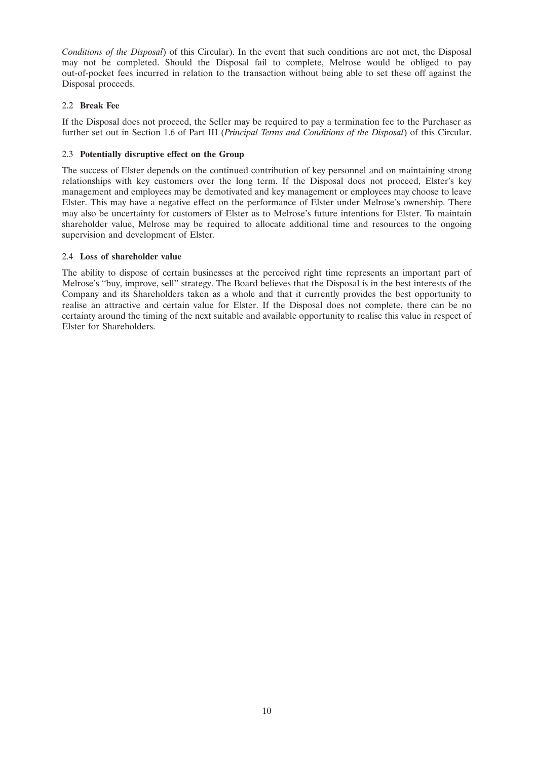*Conditions of the Disposal*) of this Circular). In the event that such conditions are not met, the Disposal may not be completed. Should the Disposal fail to complete, Melrose would be obliged to pay out-of-pocket fees incurred in relation to the transaction without being able to set these off against the Disposal proceeds.

# 2.2 **Break Fee**

If the Disposal does not proceed, the Seller may be required to pay a termination fee to the Purchaser as further set out in Section 1.6 of Part III (*Principal Terms and Conditions of the Disposal*) of this Circular.

# 2.3 **Potentially disruptive effect on the Group**

The success of Elster depends on the continued contribution of key personnel and on maintaining strong relationships with key customers over the long term. If the Disposal does not proceed, Elster's key management and employees may be demotivated and key management or employees may choose to leave Elster. This may have a negative effect on the performance of Elster under Melrose's ownership. There may also be uncertainty for customers of Elster as to Melrose's future intentions for Elster. To maintain shareholder value, Melrose may be required to allocate additional time and resources to the ongoing supervision and development of Elster.

# 2.4 **Loss of shareholder value**

The ability to dispose of certain businesses at the perceived right time represents an important part of Melrose's ''buy, improve, sell'' strategy. The Board believes that the Disposal is in the best interests of the Company and its Shareholders taken as a whole and that it currently provides the best opportunity to realise an attractive and certain value for Elster. If the Disposal does not complete, there can be no certainty around the timing of the next suitable and available opportunity to realise this value in respect of Elster for Shareholders.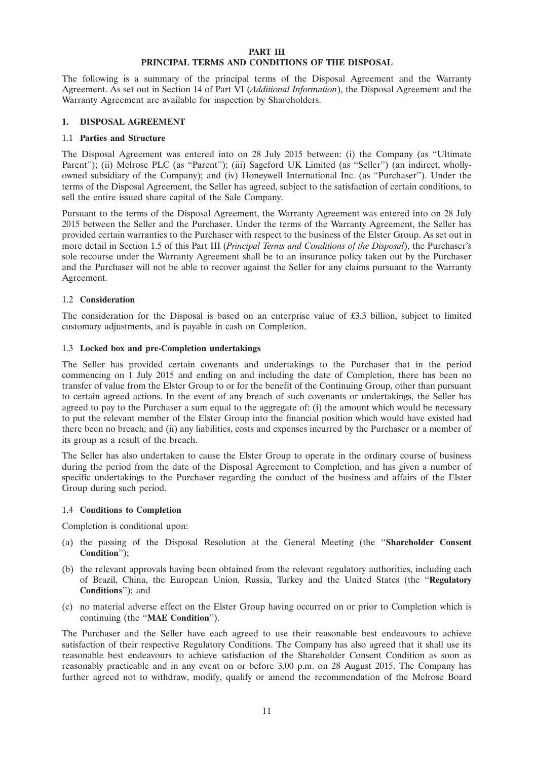#### **PART III PRINCIPAL TERMS AND CONDITIONS OF THE DISPOSAL**

The following is a summary of the principal terms of the Disposal Agreement and the Warranty Agreement. As set out in Section 14 of Part VI (*Additional Information*), the Disposal Agreement and the Warranty Agreement are available for inspection by Shareholders.

# **1. DISPOSAL AGREEMENT**

# 1.1 **Parties and Structure**

The Disposal Agreement was entered into on 28 July 2015 between: (i) the Company (as ''Ultimate Parent''); (ii) Melrose PLC (as "Parent''); (iii) Sageford UK Limited (as "Seller") (an indirect, whollyowned subsidiary of the Company); and (iv) Honeywell International Inc. (as ''Purchaser''). Under the terms of the Disposal Agreement, the Seller has agreed, subject to the satisfaction of certain conditions, to sell the entire issued share capital of the Sale Company.

Pursuant to the terms of the Disposal Agreement, the Warranty Agreement was entered into on 28 July 2015 between the Seller and the Purchaser. Under the terms of the Warranty Agreement, the Seller has provided certain warranties to the Purchaser with respect to the business of the Elster Group. As set out in more detail in Section 1.5 of this Part III (*Principal Terms and Conditions of the Disposal*), the Purchaser's sole recourse under the Warranty Agreement shall be to an insurance policy taken out by the Purchaser and the Purchaser will not be able to recover against the Seller for any claims pursuant to the Warranty Agreement.

# 1.2 **Consideration**

The consideration for the Disposal is based on an enterprise value of £3.3 billion, subject to limited customary adjustments, and is payable in cash on Completion.

# 1.3 **Locked box and pre-Completion undertakings**

The Seller has provided certain covenants and undertakings to the Purchaser that in the period commencing on 1 July 2015 and ending on and including the date of Completion, there has been no transfer of value from the Elster Group to or for the benefit of the Continuing Group, other than pursuant to certain agreed actions. In the event of any breach of such covenants or undertakings, the Seller has agreed to pay to the Purchaser a sum equal to the aggregate of: (i) the amount which would be necessary to put the relevant member of the Elster Group into the financial position which would have existed had there been no breach; and (ii) any liabilities, costs and expenses incurred by the Purchaser or a member of its group as a result of the breach.

The Seller has also undertaken to cause the Elster Group to operate in the ordinary course of business during the period from the date of the Disposal Agreement to Completion, and has given a number of specific undertakings to the Purchaser regarding the conduct of the business and affairs of the Elster Group during such period.

# 1.4 **Conditions to Completion**

Completion is conditional upon:

- (a) the passing of the Disposal Resolution at the General Meeting (the ''**Shareholder Consent Condition**'');
- (b) the relevant approvals having been obtained from the relevant regulatory authorities, including each of Brazil, China, the European Union, Russia, Turkey and the United States (the ''**Regulatory Conditions**''); and
- (c) no material adverse effect on the Elster Group having occurred on or prior to Completion which is continuing (the ''**MAE Condition**'').

The Purchaser and the Seller have each agreed to use their reasonable best endeavours to achieve satisfaction of their respective Regulatory Conditions. The Company has also agreed that it shall use its reasonable best endeavours to achieve satisfaction of the Shareholder Consent Condition as soon as reasonably practicable and in any event on or before 3.00 p.m. on 28 August 2015. The Company has further agreed not to withdraw, modify, qualify or amend the recommendation of the Melrose Board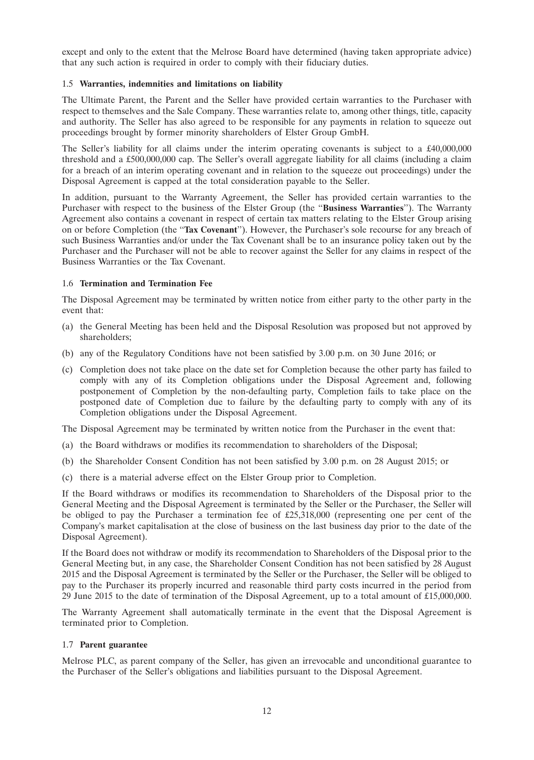except and only to the extent that the Melrose Board have determined (having taken appropriate advice) that any such action is required in order to comply with their fiduciary duties.

# 1.5 **Warranties, indemnities and limitations on liability**

The Ultimate Parent, the Parent and the Seller have provided certain warranties to the Purchaser with respect to themselves and the Sale Company. These warranties relate to, among other things, title, capacity and authority. The Seller has also agreed to be responsible for any payments in relation to squeeze out proceedings brought by former minority shareholders of Elster Group GmbH.

The Seller's liability for all claims under the interim operating covenants is subject to a £40,000,000 threshold and a £500,000,000 cap. The Seller's overall aggregate liability for all claims (including a claim for a breach of an interim operating covenant and in relation to the squeeze out proceedings) under the Disposal Agreement is capped at the total consideration payable to the Seller.

In addition, pursuant to the Warranty Agreement, the Seller has provided certain warranties to the Purchaser with respect to the business of the Elster Group (the ''**Business Warranties**''). The Warranty Agreement also contains a covenant in respect of certain tax matters relating to the Elster Group arising on or before Completion (the ''**Tax Covenant**''). However, the Purchaser's sole recourse for any breach of such Business Warranties and/or under the Tax Covenant shall be to an insurance policy taken out by the Purchaser and the Purchaser will not be able to recover against the Seller for any claims in respect of the Business Warranties or the Tax Covenant.

# 1.6 **Termination and Termination Fee**

The Disposal Agreement may be terminated by written notice from either party to the other party in the event that:

- (a) the General Meeting has been held and the Disposal Resolution was proposed but not approved by shareholders;
- (b) any of the Regulatory Conditions have not been satisfied by 3.00 p.m. on 30 June 2016; or
- (c) Completion does not take place on the date set for Completion because the other party has failed to comply with any of its Completion obligations under the Disposal Agreement and, following postponement of Completion by the non-defaulting party, Completion fails to take place on the postponed date of Completion due to failure by the defaulting party to comply with any of its Completion obligations under the Disposal Agreement.

The Disposal Agreement may be terminated by written notice from the Purchaser in the event that:

- (a) the Board withdraws or modifies its recommendation to shareholders of the Disposal;
- (b) the Shareholder Consent Condition has not been satisfied by 3.00 p.m. on 28 August 2015; or
- (c) there is a material adverse effect on the Elster Group prior to Completion.

If the Board withdraws or modifies its recommendation to Shareholders of the Disposal prior to the General Meeting and the Disposal Agreement is terminated by the Seller or the Purchaser, the Seller will be obliged to pay the Purchaser a termination fee of £25,318,000 (representing one per cent of the Company's market capitalisation at the close of business on the last business day prior to the date of the Disposal Agreement).

If the Board does not withdraw or modify its recommendation to Shareholders of the Disposal prior to the General Meeting but, in any case, the Shareholder Consent Condition has not been satisfied by 28 August 2015 and the Disposal Agreement is terminated by the Seller or the Purchaser, the Seller will be obliged to pay to the Purchaser its properly incurred and reasonable third party costs incurred in the period from 29 June 2015 to the date of termination of the Disposal Agreement, up to a total amount of £15,000,000.

The Warranty Agreement shall automatically terminate in the event that the Disposal Agreement is terminated prior to Completion.

# 1.7 **Parent guarantee**

Melrose PLC, as parent company of the Seller, has given an irrevocable and unconditional guarantee to the Purchaser of the Seller's obligations and liabilities pursuant to the Disposal Agreement.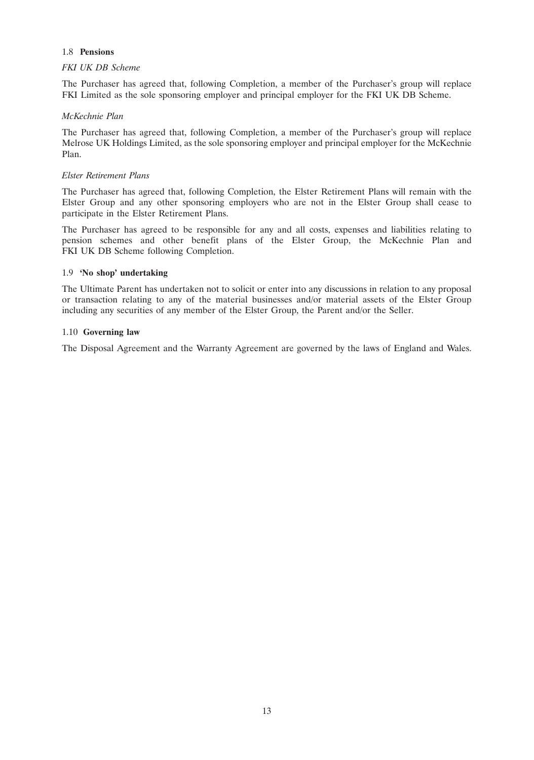# 1.8 **Pensions**

# *FKI UK DB Scheme*

The Purchaser has agreed that, following Completion, a member of the Purchaser's group will replace FKI Limited as the sole sponsoring employer and principal employer for the FKI UK DB Scheme.

# *McKechnie Plan*

The Purchaser has agreed that, following Completion, a member of the Purchaser's group will replace Melrose UK Holdings Limited, as the sole sponsoring employer and principal employer for the McKechnie Plan.

# *Elster Retirement Plans*

The Purchaser has agreed that, following Completion, the Elster Retirement Plans will remain with the Elster Group and any other sponsoring employers who are not in the Elster Group shall cease to participate in the Elster Retirement Plans.

The Purchaser has agreed to be responsible for any and all costs, expenses and liabilities relating to pension schemes and other benefit plans of the Elster Group, the McKechnie Plan and FKI UK DB Scheme following Completion.

# 1.9 **'No shop' undertaking**

The Ultimate Parent has undertaken not to solicit or enter into any discussions in relation to any proposal or transaction relating to any of the material businesses and/or material assets of the Elster Group including any securities of any member of the Elster Group, the Parent and/or the Seller.

# 1.10 **Governing law**

The Disposal Agreement and the Warranty Agreement are governed by the laws of England and Wales.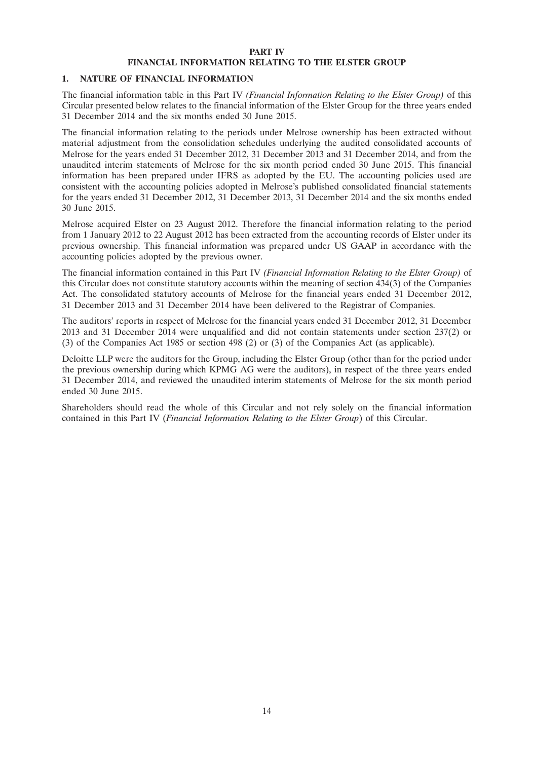#### **PART IV FINANCIAL INFORMATION RELATING TO THE ELSTER GROUP**

# **1. NATURE OF FINANCIAL INFORMATION**

The financial information table in this Part IV *(Financial Information Relating to the Elster Group)* of this Circular presented below relates to the financial information of the Elster Group for the three years ended 31 December 2014 and the six months ended 30 June 2015.

The financial information relating to the periods under Melrose ownership has been extracted without material adjustment from the consolidation schedules underlying the audited consolidated accounts of Melrose for the years ended 31 December 2012, 31 December 2013 and 31 December 2014, and from the unaudited interim statements of Melrose for the six month period ended 30 June 2015. This financial information has been prepared under IFRS as adopted by the EU. The accounting policies used are consistent with the accounting policies adopted in Melrose's published consolidated financial statements for the years ended 31 December 2012, 31 December 2013, 31 December 2014 and the six months ended 30 June 2015.

Melrose acquired Elster on 23 August 2012. Therefore the financial information relating to the period from 1 January 2012 to 22 August 2012 has been extracted from the accounting records of Elster under its previous ownership. This financial information was prepared under US GAAP in accordance with the accounting policies adopted by the previous owner.

The financial information contained in this Part IV *(Financial Information Relating to the Elster Group)* of this Circular does not constitute statutory accounts within the meaning of section 434(3) of the Companies Act. The consolidated statutory accounts of Melrose for the financial years ended 31 December 2012, 31 December 2013 and 31 December 2014 have been delivered to the Registrar of Companies.

The auditors' reports in respect of Melrose for the financial years ended 31 December 2012, 31 December 2013 and 31 December 2014 were unqualified and did not contain statements under section 237(2) or (3) of the Companies Act 1985 or section 498 (2) or (3) of the Companies Act (as applicable).

Deloitte LLP were the auditors for the Group, including the Elster Group (other than for the period under the previous ownership during which KPMG AG were the auditors), in respect of the three years ended 31 December 2014, and reviewed the unaudited interim statements of Melrose for the six month period ended 30 June 2015.

Shareholders should read the whole of this Circular and not rely solely on the financial information contained in this Part IV (*Financial Information Relating to the Elster Group*) of this Circular.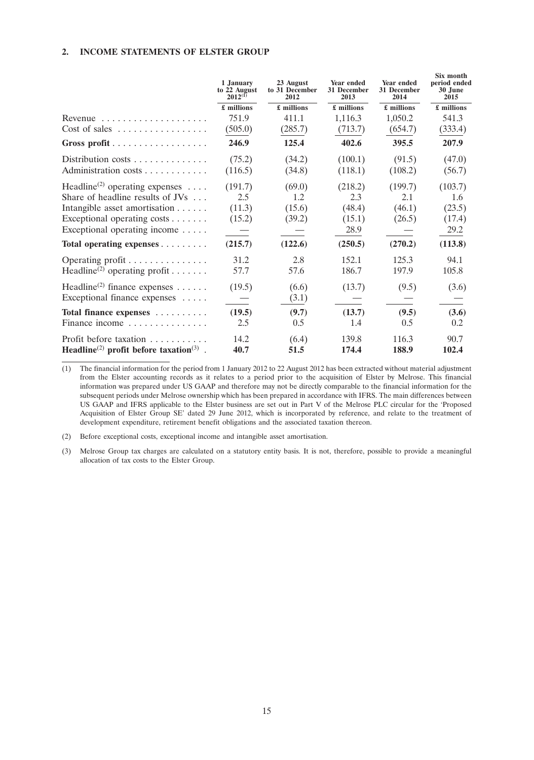# **2. INCOME STATEMENTS OF ELSTER GROUP**

|                                                                 | 1 January<br>to 22 August<br>$2012^{(1)}$ | 23 August<br>to 31 December<br>2012 | Year ended<br>31 December<br>2013 | Year ended<br>31 December<br>2014 | Six month<br>period ended<br>30 June<br>2015 |
|-----------------------------------------------------------------|-------------------------------------------|-------------------------------------|-----------------------------------|-----------------------------------|----------------------------------------------|
|                                                                 | £ millions                                | £ millions                          | £ millions                        | £ millions                        | £ millions                                   |
| Revenue                                                         | 751.9                                     | 411.1                               | 1,116.3                           | 1,050.2                           | 541.3                                        |
| $Cost of sales \dots \dots \dots \dots \dots$                   | (505.0)                                   | (285.7)                             | (713.7)                           | (654.7)                           | (333.4)                                      |
|                                                                 | 246.9                                     | 125.4                               | 402.6                             | 395.5                             | 207.9                                        |
| Distribution costs                                              | (75.2)                                    | (34.2)                              | (100.1)                           | (91.5)                            | (47.0)                                       |
| Administration costs                                            | (116.5)                                   | (34.8)                              | (118.1)                           | (108.2)                           | (56.7)                                       |
| Headline <sup>(2)</sup> operating expenses $\dots$              | (191.7)                                   | (69.0)                              | (218.2)                           | (199.7)                           | (103.7)                                      |
| Share of headline results of $JVs \dots$                        | 2.5                                       | 1.2                                 | 2.3                               | 2.1                               | 1.6                                          |
| Intangible asset amortisation                                   | (11.3)                                    | (15.6)                              | (48.4)                            | (46.1)                            | (23.5)                                       |
| Exceptional operating costs $\dots \dots$                       | (15.2)                                    | (39.2)                              | (15.1)                            | (26.5)                            | (17.4)                                       |
| Exceptional operating income                                    |                                           |                                     | 28.9                              |                                   | 29.2                                         |
| Total operating expenses                                        | (215.7)                                   | (122.6)                             | (250.5)                           | (270.2)                           | (113.8)                                      |
| Operating profit                                                | 31.2                                      | 2.8                                 | 152.1                             | 125.3                             | 94.1                                         |
| Headline <sup>(2)</sup> operating profit                        | 57.7                                      | 57.6                                | 186.7                             | 197.9                             | 105.8                                        |
| Headline <sup>(2)</sup> finance expenses                        | (19.5)                                    | (6.6)                               | (13.7)                            | (9.5)                             | (3.6)                                        |
| Exceptional finance expenses                                    |                                           | (3.1)                               |                                   |                                   |                                              |
| Total finance expenses                                          | (19.5)                                    | (9.7)                               | (13.7)                            | (9.5)                             | (3.6)                                        |
| Finance income                                                  | 2.5                                       | 0.5                                 | 1.4                               | 0.5                               | 0.2                                          |
| Profit before taxation                                          | 14.2                                      | (6.4)                               | 139.8                             | 116.3                             | 90.7                                         |
| Headline <sup>(2)</sup> profit before taxation <sup>(3)</sup> . | 40.7                                      | 51.5                                | 174.4                             | 188.9                             | 102.4                                        |

(1) The financial information for the period from 1 January 2012 to 22 August 2012 has been extracted without material adjustment from the Elster accounting records as it relates to a period prior to the acquisition of Elster by Melrose. This financial information was prepared under US GAAP and therefore may not be directly comparable to the financial information for the subsequent periods under Melrose ownership which has been prepared in accordance with IFRS. The main differences between US GAAP and IFRS applicable to the Elster business are set out in Part V of the Melrose PLC circular for the 'Proposed Acquisition of Elster Group SE' dated 29 June 2012, which is incorporated by reference, and relate to the treatment of development expenditure, retirement benefit obligations and the associated taxation thereon.

(2) Before exceptional costs, exceptional income and intangible asset amortisation.

(3) Melrose Group tax charges are calculated on a statutory entity basis. It is not, therefore, possible to provide a meaningful allocation of tax costs to the Elster Group.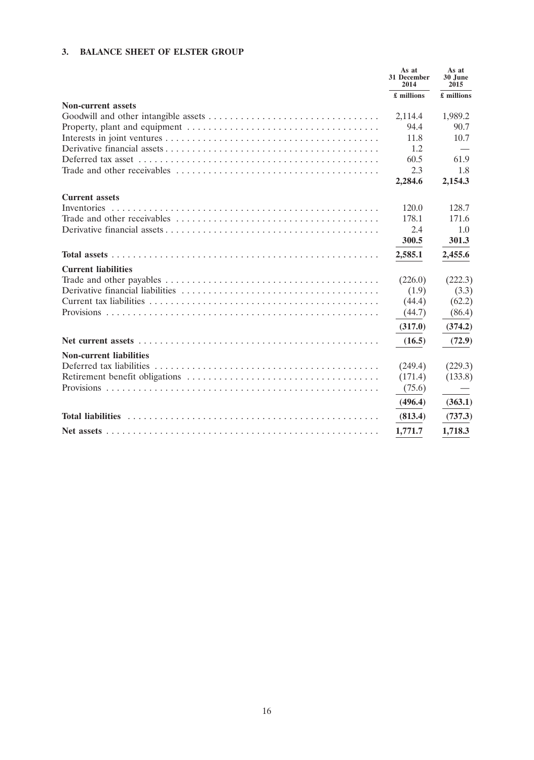# **3. BALANCE SHEET OF ELSTER GROUP**

|                                | As at<br><b>31 December</b><br>2014 | As at<br>30 June<br>2015 |
|--------------------------------|-------------------------------------|--------------------------|
|                                | £ millions                          | £ millions               |
| <b>Non-current assets</b>      |                                     |                          |
|                                | 2,114.4                             | 1,989.2                  |
|                                | 94.4                                | 90.7                     |
|                                | 11.8                                | 10.7                     |
|                                | 1.2                                 |                          |
|                                | 60.5                                | 61.9                     |
|                                | 2.3                                 | 1.8                      |
|                                | 2,284.6                             | 2,154.3                  |
| <b>Current assets</b>          |                                     |                          |
| Inventories                    | 120.0                               | 128.7                    |
|                                | 178.1                               | 171.6                    |
|                                | 2.4                                 | 1.0                      |
|                                | 300.5                               | 301.3                    |
|                                | 2,585.1                             | 2,455.6                  |
| <b>Current liabilities</b>     |                                     |                          |
|                                | (226.0)                             | (222.3)                  |
|                                | (1.9)                               | (3.3)                    |
|                                | (44.4)                              | (62.2)                   |
|                                | (44.7)                              | (86.4)                   |
|                                | (317.0)                             | (374.2)                  |
|                                | (16.5)                              | (72.9)                   |
| <b>Non-current liabilities</b> |                                     |                          |
|                                | (249.4)                             | (229.3)                  |
|                                | (171.4)                             | (133.8)                  |
|                                | (75.6)                              |                          |
|                                | (496.4)                             | (363.1)                  |
|                                | (813.4)                             | (737.3)                  |
|                                | 1,771.7                             | 1,718.3                  |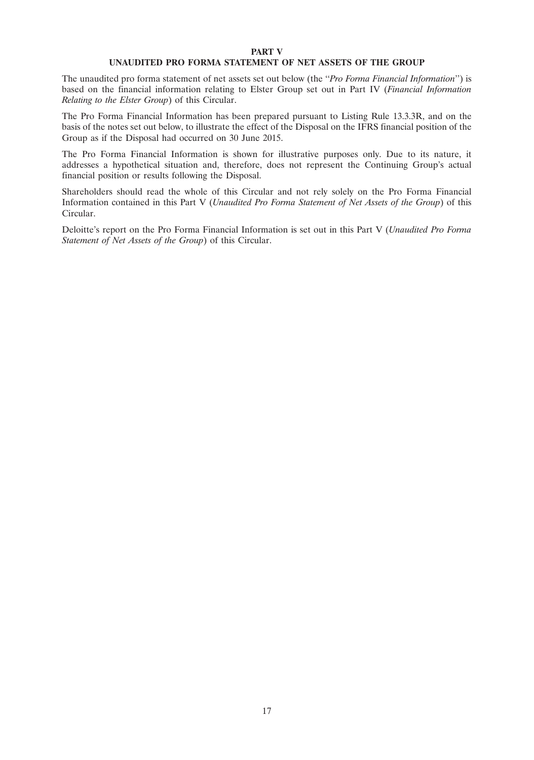#### **PART V**

#### **UNAUDITED PRO FORMA STATEMENT OF NET ASSETS OF THE GROUP**

The unaudited pro forma statement of net assets set out below (the ''*Pro Forma Financial Information*'') is based on the financial information relating to Elster Group set out in Part IV (*Financial Information Relating to the Elster Group*) of this Circular.

The Pro Forma Financial Information has been prepared pursuant to Listing Rule 13.3.3R, and on the basis of the notes set out below, to illustrate the effect of the Disposal on the IFRS financial position of the Group as if the Disposal had occurred on 30 June 2015.

The Pro Forma Financial Information is shown for illustrative purposes only. Due to its nature, it addresses a hypothetical situation and, therefore, does not represent the Continuing Group's actual financial position or results following the Disposal.

Shareholders should read the whole of this Circular and not rely solely on the Pro Forma Financial Information contained in this Part V (*Unaudited Pro Forma Statement of Net Assets of the Group*) of this Circular.

Deloitte's report on the Pro Forma Financial Information is set out in this Part V (*Unaudited Pro Forma Statement of Net Assets of the Group*) of this Circular.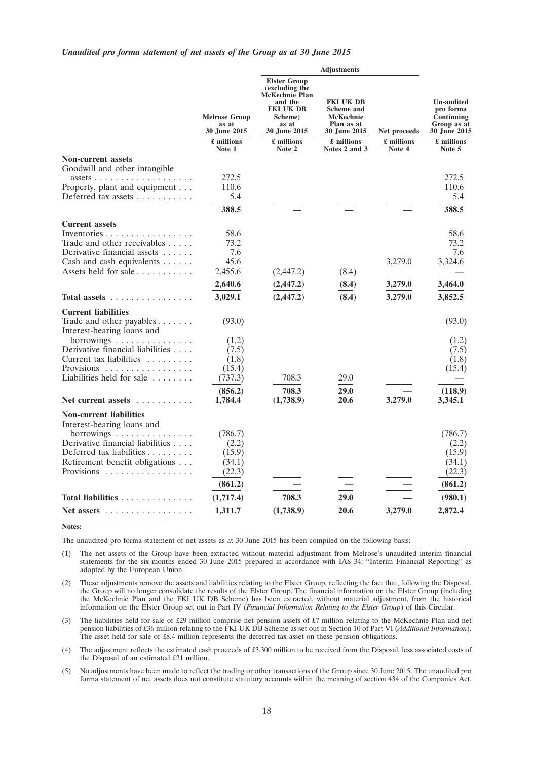|                                                                                                                                                                 |                                                                       |                                                                                                                                                    | <b>Adjustments</b>                                                                                       |                                      |                                                                                                     |
|-----------------------------------------------------------------------------------------------------------------------------------------------------------------|-----------------------------------------------------------------------|----------------------------------------------------------------------------------------------------------------------------------------------------|----------------------------------------------------------------------------------------------------------|--------------------------------------|-----------------------------------------------------------------------------------------------------|
|                                                                                                                                                                 | <b>Melrose Group</b><br>as at<br>30 June 2015<br>£ millions<br>Note 1 | <b>Elster Group</b><br>(excluding the<br>McKechnie Plan<br>and the<br><b>FKI UK DB</b><br>Scheme)<br>as at<br>30 June 2015<br>£ millions<br>Note 2 | <b>FKI UK DB</b><br>Scheme and<br>McKechnie<br>Plan as at<br>30 June 2015<br>£ millions<br>Notes 2 and 3 | Net proceeds<br>£ millions<br>Note 4 | <b>Un-audited</b><br>pro forma<br>Continuing<br>Group as at<br>30 June 2015<br>£ millions<br>Note 5 |
| <b>Non-current assets</b>                                                                                                                                       |                                                                       |                                                                                                                                                    |                                                                                                          |                                      |                                                                                                     |
| Goodwill and other intangible                                                                                                                                   |                                                                       |                                                                                                                                                    |                                                                                                          |                                      |                                                                                                     |
| $assets \ldots \ldots \ldots \ldots$<br>Property, plant and equipment<br>Deferred tax assets $\ldots \ldots \ldots$                                             | 272.5<br>110.6<br>5.4                                                 |                                                                                                                                                    |                                                                                                          |                                      | 272.5<br>110.6<br>5.4                                                                               |
|                                                                                                                                                                 | 388.5                                                                 |                                                                                                                                                    |                                                                                                          |                                      | 388.5                                                                                               |
| <b>Current assets</b>                                                                                                                                           |                                                                       |                                                                                                                                                    |                                                                                                          |                                      |                                                                                                     |
| Inventories $\ldots$ ,<br>Trade and other receivables<br>Derivative financial assets<br>Cash and cash equivalents<br>Assets held for sale                       | 58.6<br>73.2<br>7.6<br>45.6<br>2,455.6                                | (2,447.2)                                                                                                                                          | (8.4)                                                                                                    | 3,279.0                              | 58.6<br>73.2<br>7.6<br>3,324.6                                                                      |
|                                                                                                                                                                 | 2,640.6                                                               | (2, 447.2)                                                                                                                                         | (8.4)                                                                                                    | 3,279.0                              | 3,464.0                                                                                             |
| Total assets                                                                                                                                                    | 3,029.1                                                               | (2, 447.2)                                                                                                                                         | (8.4)                                                                                                    | 3,279.0                              | 3,852.5                                                                                             |
|                                                                                                                                                                 |                                                                       |                                                                                                                                                    |                                                                                                          |                                      |                                                                                                     |
| <b>Current liabilities</b><br>Trade and other payables<br>Interest-bearing loans and                                                                            | (93.0)                                                                |                                                                                                                                                    |                                                                                                          |                                      | (93.0)                                                                                              |
| borrowings $\dots \dots$<br>Derivative financial liabilities<br>Current tax liabilities<br>Provisions<br>Liabilities held for sale $\ldots$ ,                   | (1.2)<br>(7.5)<br>(1.8)<br>(15.4)<br>(737.3)                          | 708.3                                                                                                                                              | 29.0                                                                                                     |                                      | (1.2)<br>(7.5)<br>(1.8)<br>(15.4)                                                                   |
|                                                                                                                                                                 | (856.2)                                                               | 708.3                                                                                                                                              | 29.0                                                                                                     |                                      | (118.9)                                                                                             |
| Net current assets $\dots \dots \dots$                                                                                                                          | 1,784.4                                                               | (1,738.9)                                                                                                                                          | 20.6                                                                                                     | 3,279.0                              | 3,345.1                                                                                             |
| <b>Non-current liabilities</b><br>Interest-bearing loans and                                                                                                    |                                                                       |                                                                                                                                                    |                                                                                                          |                                      |                                                                                                     |
| borrowings<br>Derivative financial liabilities<br>Deferred tax liabilities<br>Retirement benefit obligations<br>Provisions $\ldots \ldots \ldots \ldots \ldots$ | (786.7)<br>(2.2)<br>(15.9)<br>(34.1)<br>(22.3)                        |                                                                                                                                                    |                                                                                                          |                                      | (786.7)<br>(2.2)<br>(15.9)<br>(34.1)<br>(22.3)                                                      |
|                                                                                                                                                                 | (861.2)                                                               |                                                                                                                                                    |                                                                                                          |                                      | (861.2)                                                                                             |
| Total liabilities                                                                                                                                               | (1,717.4)                                                             | 708.3                                                                                                                                              | 29.0                                                                                                     |                                      | (980.1)                                                                                             |
| Net assets $\dots \dots \dots \dots \dots \dots$                                                                                                                | 1,311.7                                                               | (1,738.9)                                                                                                                                          | 20.6                                                                                                     | 3,279.0                              | 2,872.4                                                                                             |
|                                                                                                                                                                 |                                                                       |                                                                                                                                                    |                                                                                                          |                                      |                                                                                                     |

**Notes:**

The unaudited pro forma statement of net assets as at 30 June 2015 has been compiled on the following basis:

(1) The net assets of the Group have been extracted without material adjustment from Melrose's unaudited interim financial statements for the six months ended 30 June 2015 prepared in accordance with IAS 34: ''Interim Financial Reporting'' as adopted by the European Union.

(2) These adjustments remove the assets and liabilities relating to the Elster Group, reflecting the fact that, following the Disposal, the Group will no longer consolidate the results of the Elster Group. The financial information on the Elster Group (including the McKechnie Plan and the FKI UK DB Scheme) has been extracted, without material adjustment, from the historical information on the Elster Group set out in Part IV (*Financial Information Relating to the Elster Group*) of this Circular.

(3) The liabilities held for sale of £29 million comprise net pension assets of £7 million relating to the McKechnie Plan and net pension liabilities of £36 million relating to the FKI UK DB Scheme as set out in Section 10 of Part VI (*Additional Information*). The asset held for sale of £8.4 million represents the deferred tax asset on these pension obligations.

(4) The adjustment reflects the estimated cash proceeds of £3,300 million to be received from the Disposal, less associated costs of the Disposal of an estimated £21 million.

(5) No adjustments have been made to reflect the trading or other transactions of the Group since 30 June 2015. The unaudited pro forma statement of net assets does not constitute statutory accounts within the meaning of section 434 of the Companies Act.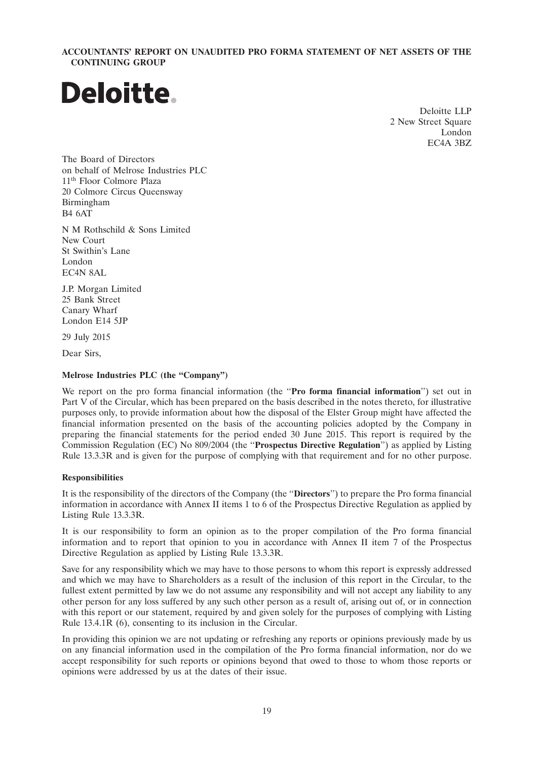**ACCOUNTANTS' REPORT ON UNAUDITED PRO FORMA STATEMENT OF NET ASSETS OF THE CONTINUING GROUP**

# Deloitte.

Deloitte LLP 2 New Street Square London EC4A 3BZ

The Board of Directors on behalf of Melrose Industries PLC 11th Floor Colmore Plaza 20 Colmore Circus Queensway Birmingham B4 6AT

N M Rothschild & Sons Limited New Court St Swithin's Lane London EC4N 8AL

J.P. Morgan Limited 25 Bank Street Canary Wharf London E14 5JP

29 July 2015

Dear Sirs,

# **Melrose Industries PLC (the ''Company'')**

We report on the pro forma financial information (the ''**Pro forma financial information**'') set out in Part V of the Circular, which has been prepared on the basis described in the notes thereto, for illustrative purposes only, to provide information about how the disposal of the Elster Group might have affected the financial information presented on the basis of the accounting policies adopted by the Company in preparing the financial statements for the period ended 30 June 2015. This report is required by the Commission Regulation (EC) No 809/2004 (the ''**Prospectus Directive Regulation**'') as applied by Listing Rule 13.3.3R and is given for the purpose of complying with that requirement and for no other purpose.

# **Responsibilities**

It is the responsibility of the directors of the Company (the ''**Directors**'') to prepare the Pro forma financial information in accordance with Annex II items 1 to 6 of the Prospectus Directive Regulation as applied by Listing Rule 13.3.3R.

It is our responsibility to form an opinion as to the proper compilation of the Pro forma financial information and to report that opinion to you in accordance with Annex II item 7 of the Prospectus Directive Regulation as applied by Listing Rule 13.3.3R.

Save for any responsibility which we may have to those persons to whom this report is expressly addressed and which we may have to Shareholders as a result of the inclusion of this report in the Circular, to the fullest extent permitted by law we do not assume any responsibility and will not accept any liability to any other person for any loss suffered by any such other person as a result of, arising out of, or in connection with this report or our statement, required by and given solely for the purposes of complying with Listing Rule 13.4.1R (6), consenting to its inclusion in the Circular.

In providing this opinion we are not updating or refreshing any reports or opinions previously made by us on any financial information used in the compilation of the Pro forma financial information, nor do we accept responsibility for such reports or opinions beyond that owed to those to whom those reports or opinions were addressed by us at the dates of their issue.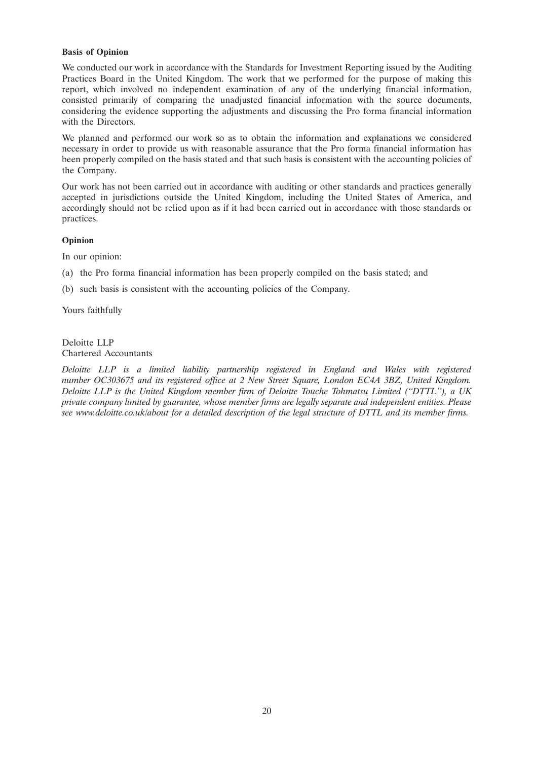### **Basis of Opinion**

We conducted our work in accordance with the Standards for Investment Reporting issued by the Auditing Practices Board in the United Kingdom. The work that we performed for the purpose of making this report, which involved no independent examination of any of the underlying financial information, consisted primarily of comparing the unadjusted financial information with the source documents, considering the evidence supporting the adjustments and discussing the Pro forma financial information with the Directors.

We planned and performed our work so as to obtain the information and explanations we considered necessary in order to provide us with reasonable assurance that the Pro forma financial information has been properly compiled on the basis stated and that such basis is consistent with the accounting policies of the Company.

Our work has not been carried out in accordance with auditing or other standards and practices generally accepted in jurisdictions outside the United Kingdom, including the United States of America, and accordingly should not be relied upon as if it had been carried out in accordance with those standards or practices.

# **Opinion**

In our opinion:

(a) the Pro forma financial information has been properly compiled on the basis stated; and

(b) such basis is consistent with the accounting policies of the Company.

Yours faithfully

Deloitte LLP Chartered Accountants

*Deloitte LLP is a limited liability partnership registered in England and Wales with registered number OC303675 and its registered office at 2 New Street Square, London EC4A 3BZ, United Kingdom. Deloitte LLP is the United Kingdom member firm of Deloitte Touche Tohmatsu Limited (''DTTL''), a UK private company limited by guarantee, whose member firms are legally separate and independent entities. Please see www.deloitte.co.uk/about for a detailed description of the legal structure of DTTL and its member firms.*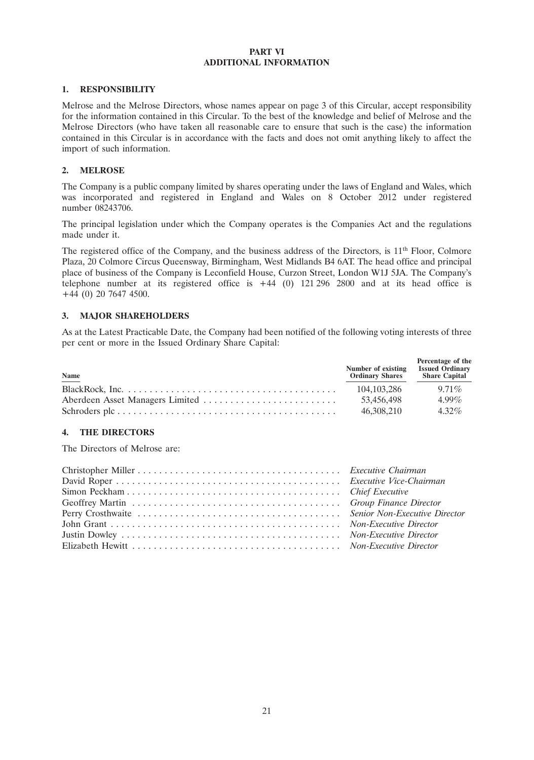# **PART VI ADDITIONAL INFORMATION**

# **1. RESPONSIBILITY**

Melrose and the Melrose Directors, whose names appear on page 3 of this Circular, accept responsibility for the information contained in this Circular. To the best of the knowledge and belief of Melrose and the Melrose Directors (who have taken all reasonable care to ensure that such is the case) the information contained in this Circular is in accordance with the facts and does not omit anything likely to affect the import of such information.

# **2. MELROSE**

The Company is a public company limited by shares operating under the laws of England and Wales, which was incorporated and registered in England and Wales on 8 October 2012 under registered number 08243706.

The principal legislation under which the Company operates is the Companies Act and the regulations made under it.

The registered office of the Company, and the business address of the Directors, is  $11<sup>th</sup>$  Floor, Colmore Plaza, 20 Colmore Circus Queensway, Birmingham, West Midlands B4 6AT. The head office and principal place of business of the Company is Leconfield House, Curzon Street, London W1J 5JA. The Company's telephone number at its registered office is  $+44$  (0) 121 296 2800 and at its head office is  $+44(0)$  20 7647 4500.

# **3. MAJOR SHAREHOLDERS**

As at the Latest Practicable Date, the Company had been notified of the following voting interests of three per cent or more in the Issued Ordinary Share Capital:

| Name | Number of existing<br><b>Ordinary Shares</b> | Percentage of the<br><b>Issued Ordinary</b><br><b>Share Capital</b> |
|------|----------------------------------------------|---------------------------------------------------------------------|
|      | 104, 103, 286                                | $971\%$                                                             |
|      | 53.456.498                                   | $4.99\%$                                                            |
|      | 46,308,210                                   | $4.32\%$                                                            |

# **4. THE DIRECTORS**

The Directors of Melrose are: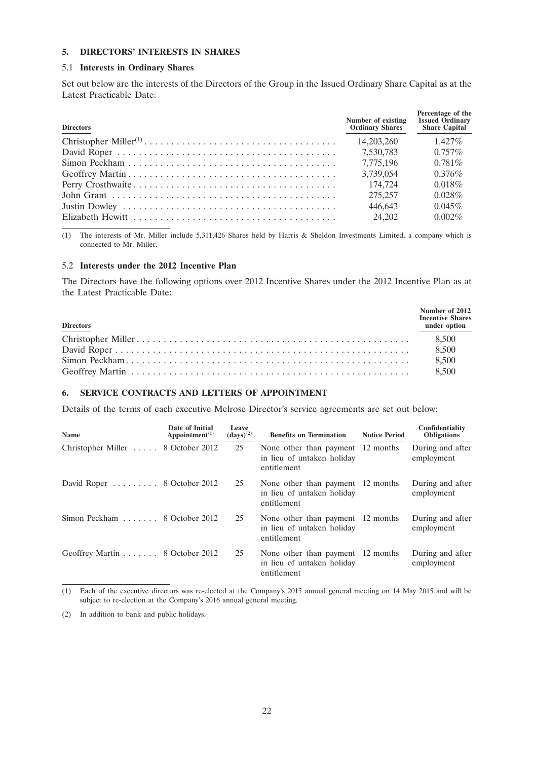# **5. DIRECTORS' INTERESTS IN SHARES**

# 5.1 **Interests in Ordinary Shares**

Set out below are the interests of the Directors of the Group in the Issued Ordinary Share Capital as at the Latest Practicable Date:

| <b>Directors</b> | Number of existing<br><b>Ordinary Shares</b> | Percentage of the<br><b>Issued Ordinary</b><br><b>Share Capital</b> |
|------------------|----------------------------------------------|---------------------------------------------------------------------|
|                  | 14,203,260                                   | $1.427\%$                                                           |
|                  | 7.530.783                                    | $0.757\%$                                                           |
|                  | 7,775,196                                    | $0.781\%$                                                           |
|                  | 3.739,054                                    | $0.376\%$                                                           |
|                  | 174.724                                      | $0.018\%$                                                           |
|                  | 275,257                                      | $0.028\%$                                                           |
|                  | 446.643                                      | $0.045\%$                                                           |
|                  | 24,202                                       | $0.002\%$                                                           |

(1) The interests of Mr. Miller include 5,311,426 Shares held by Harris & Sheldon Investments Limited, a company which is connected to Mr. Miller.

#### 5.2 **Interests under the 2012 Incentive Plan**

The Directors have the following options over 2012 Incentive Shares under the 2012 Incentive Plan as at the Latest Practicable Date:

| <b>Directors</b> | Number of 2012<br><b>Incentive Shares</b><br>under option |
|------------------|-----------------------------------------------------------|
|                  |                                                           |
|                  |                                                           |
|                  |                                                           |
|                  |                                                           |

# **6. SERVICE CONTRACTS AND LETTERS OF APPOINTMENT**

Details of the terms of each executive Melrose Director's service agreements are set out below:

| Name                                              | Date of Initial<br>Appointment $(1)$ | Leave<br>$(days)^{(2)}$ | <b>Benefits on Termination</b>                                                 | <b>Notice Period</b> | Confidentiality<br><b>Obligations</b> |
|---------------------------------------------------|--------------------------------------|-------------------------|--------------------------------------------------------------------------------|----------------------|---------------------------------------|
| Christopher Miller                                | 8 October 2012                       | 25                      | None other than payment 12 months<br>in lieu of untaken holiday<br>entitlement |                      | During and after<br>employment        |
| David Roper $\ldots \ldots \ldots 8$ October 2012 |                                      | 25                      | None other than payment 12 months<br>in lieu of untaken holiday<br>entitlement |                      | During and after<br>employment        |
| Simon Peckham 8 October 2012                      |                                      | 25                      | None other than payment 12 months<br>in lieu of untaken holiday<br>entitlement |                      | During and after<br>employment        |
| Geoffrey Martin 8 October 2012                    |                                      | 25                      | None other than payment 12 months<br>in lieu of untaken holiday<br>entitlement |                      | During and after<br>employment        |

(1) Each of the executive directors was re-elected at the Company's 2015 annual general meeting on 14 May 2015 and will be subject to re-election at the Company's 2016 annual general meeting.

(2) In addition to bank and public holidays.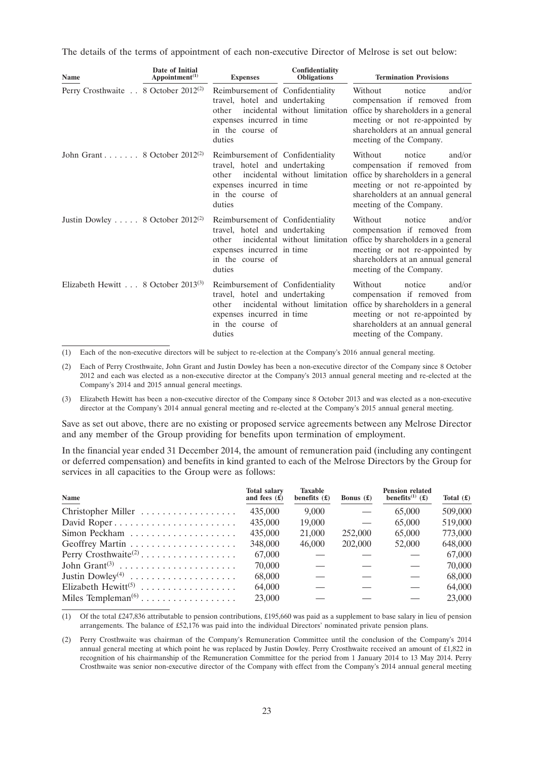The details of the terms of appointment of each non-executive Director of Melrose is set out below:

| Name                                            | <b>Date of Initial</b><br>Appointment $(1)$ | <b>Expenses</b>                                                                                                                       | Confidentiality<br><b>Obligations</b> | <b>Termination Provisions</b>                                                                                                                                                                        |
|-------------------------------------------------|---------------------------------------------|---------------------------------------------------------------------------------------------------------------------------------------|---------------------------------------|------------------------------------------------------------------------------------------------------------------------------------------------------------------------------------------------------|
| Perry Crosthwaite 8 October 2012 <sup>(2)</sup> |                                             | Reimbursement of Confidentiality<br>travel, hotel and undertaking<br>other<br>expenses incurred in time<br>in the course of<br>duties | incidental without limitation         | notice<br>and/or<br>Without<br>compensation if removed from<br>office by shareholders in a general<br>meeting or not re-appointed by<br>shareholders at an annual general<br>meeting of the Company. |
| John Grant 8 October 2012 <sup>(2)</sup>        |                                             | Reimbursement of Confidentiality<br>travel, hotel and undertaking<br>other<br>expenses incurred in time<br>in the course of<br>duties | incidental without limitation         | and/or<br>Without<br>notice<br>compensation if removed from<br>office by shareholders in a general<br>meeting or not re-appointed by<br>shareholders at an annual general<br>meeting of the Company. |
| Justin Dowley  8 October $2012^{(2)}$           |                                             | Reimbursement of Confidentiality<br>travel, hotel and undertaking<br>other<br>expenses incurred in time<br>in the course of<br>duties | incidental without limitation         | Without<br>notice<br>and/or<br>compensation if removed from<br>office by shareholders in a general<br>meeting or not re-appointed by<br>shareholders at an annual general<br>meeting of the Company. |
| Elizabeth Hewitt 8 October 2013 <sup>(3)</sup>  |                                             | Reimbursement of Confidentiality<br>travel, hotel and undertaking<br>other<br>expenses incurred in time<br>in the course of<br>duties | incidental without limitation         | notice<br>Without<br>and/or<br>compensation if removed from<br>office by shareholders in a general<br>meeting or not re-appointed by<br>shareholders at an annual general<br>meeting of the Company. |

(1) Each of the non-executive directors will be subject to re-election at the Company's 2016 annual general meeting.

(2) Each of Perry Crosthwaite, John Grant and Justin Dowley has been a non-executive director of the Company since 8 October 2012 and each was elected as a non-executive director at the Company's 2013 annual general meeting and re-elected at the Company's 2014 and 2015 annual general meetings.

(3) Elizabeth Hewitt has been a non-executive director of the Company since 8 October 2013 and was elected as a non-executive director at the Company's 2014 annual general meeting and re-elected at the Company's 2015 annual general meeting.

Save as set out above, there are no existing or proposed service agreements between any Melrose Director and any member of the Group providing for benefits upon termination of employment.

In the financial year ended 31 December 2014, the amount of remuneration paid (including any contingent or deferred compensation) and benefits in kind granted to each of the Melrose Directors by the Group for services in all capacities to the Group were as follows:

| <b>Name</b>                     | <b>Total salary</b><br>and fees $(f)$ | <b>Taxable</b><br>benefits $(f)$ | Bonus $(f)$              | <b>Pension related</b><br>benefits <sup>(1)</sup> (£) | Total $(f)$ |
|---------------------------------|---------------------------------------|----------------------------------|--------------------------|-------------------------------------------------------|-------------|
| Christopher Miller              | 435,000                               | 9,000                            |                          | 65,000                                                | 509,000     |
| David Roper                     | 435,000                               | 19,000                           | $\overline{\phantom{m}}$ | 65,000                                                | 519,000     |
|                                 | 435,000                               | 21,000                           | 252,000                  | 65,000                                                | 773,000     |
|                                 | 348,000                               | 46,000                           | 202,000                  | 52,000                                                | 648,000     |
|                                 | 67,000                                |                                  |                          |                                                       | 67,000      |
| John Grant <sup>(3)</sup>       | 70,000                                |                                  |                          |                                                       | 70,000      |
| Justin Dowley <sup>(4)</sup>    | 68,000                                |                                  |                          |                                                       | 68,000      |
| Elizabeth Hewitt <sup>(5)</sup> | 64,000                                |                                  |                          |                                                       | 64,000      |
|                                 | 23,000                                |                                  |                          |                                                       | 23,000      |

(1) Of the total £247,836 attributable to pension contributions, £195,660 was paid as a supplement to base salary in lieu of pension arrangements. The balance of £52,176 was paid into the individual Directors' nominated private pension plans.

(2) Perry Crosthwaite was chairman of the Company's Remuneration Committee until the conclusion of the Company's 2014 annual general meeting at which point he was replaced by Justin Dowley. Perry Crosthwaite received an amount of £1,822 in recognition of his chairmanship of the Remuneration Committee for the period from 1 January 2014 to 13 May 2014. Perry Crosthwaite was senior non-executive director of the Company with effect from the Company's 2014 annual general meeting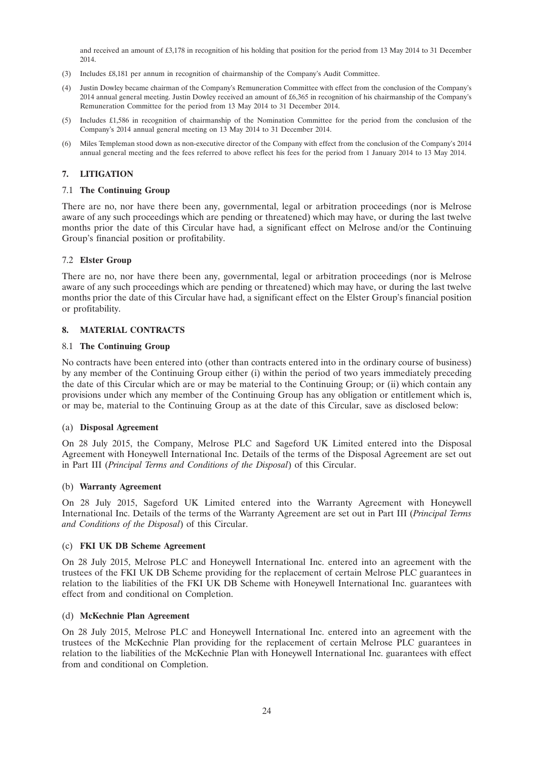and received an amount of £3,178 in recognition of his holding that position for the period from 13 May 2014 to 31 December 2014.

- (3) Includes £8,181 per annum in recognition of chairmanship of the Company's Audit Committee.
- (4) Justin Dowley became chairman of the Company's Remuneration Committee with effect from the conclusion of the Company's 2014 annual general meeting. Justin Dowley received an amount of £6,365 in recognition of his chairmanship of the Company's Remuneration Committee for the period from 13 May 2014 to 31 December 2014.
- (5) Includes £1,586 in recognition of chairmanship of the Nomination Committee for the period from the conclusion of the Company's 2014 annual general meeting on 13 May 2014 to 31 December 2014.
- (6) Miles Templeman stood down as non-executive director of the Company with effect from the conclusion of the Company's 2014 annual general meeting and the fees referred to above reflect his fees for the period from 1 January 2014 to 13 May 2014.

# **7. LITIGATION**

## 7.1 **The Continuing Group**

There are no, nor have there been any, governmental, legal or arbitration proceedings (nor is Melrose aware of any such proceedings which are pending or threatened) which may have, or during the last twelve months prior the date of this Circular have had, a significant effect on Melrose and/or the Continuing Group's financial position or profitability.

# 7.2 **Elster Group**

There are no, nor have there been any, governmental, legal or arbitration proceedings (nor is Melrose aware of any such proceedings which are pending or threatened) which may have, or during the last twelve months prior the date of this Circular have had, a significant effect on the Elster Group's financial position or profitability.

# **8. MATERIAL CONTRACTS**

# 8.1 **The Continuing Group**

No contracts have been entered into (other than contracts entered into in the ordinary course of business) by any member of the Continuing Group either (i) within the period of two years immediately preceding the date of this Circular which are or may be material to the Continuing Group; or (ii) which contain any provisions under which any member of the Continuing Group has any obligation or entitlement which is, or may be, material to the Continuing Group as at the date of this Circular, save as disclosed below:

# (a) **Disposal Agreement**

On 28 July 2015, the Company, Melrose PLC and Sageford UK Limited entered into the Disposal Agreement with Honeywell International Inc. Details of the terms of the Disposal Agreement are set out in Part III (*Principal Terms and Conditions of the Disposal*) of this Circular.

# (b) **Warranty Agreement**

On 28 July 2015, Sageford UK Limited entered into the Warranty Agreement with Honeywell International Inc. Details of the terms of the Warranty Agreement are set out in Part III (*Principal Terms and Conditions of the Disposal*) of this Circular.

# (c) **FKI UK DB Scheme Agreement**

On 28 July 2015, Melrose PLC and Honeywell International Inc. entered into an agreement with the trustees of the FKI UK DB Scheme providing for the replacement of certain Melrose PLC guarantees in relation to the liabilities of the FKI UK DB Scheme with Honeywell International Inc. guarantees with effect from and conditional on Completion.

# (d) **McKechnie Plan Agreement**

On 28 July 2015, Melrose PLC and Honeywell International Inc. entered into an agreement with the trustees of the McKechnie Plan providing for the replacement of certain Melrose PLC guarantees in relation to the liabilities of the McKechnie Plan with Honeywell International Inc. guarantees with effect from and conditional on Completion.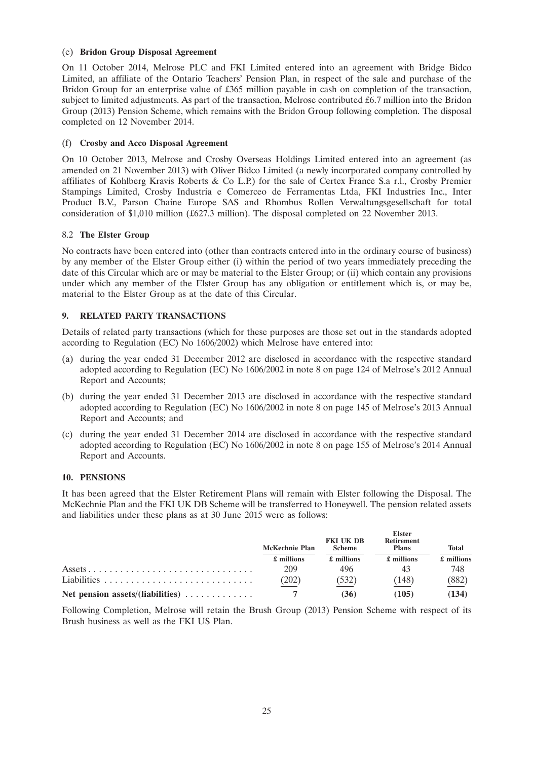# (e) **Bridon Group Disposal Agreement**

On 11 October 2014, Melrose PLC and FKI Limited entered into an agreement with Bridge Bidco Limited, an affiliate of the Ontario Teachers' Pension Plan, in respect of the sale and purchase of the Bridon Group for an enterprise value of £365 million payable in cash on completion of the transaction, subject to limited adjustments. As part of the transaction, Melrose contributed £6.7 million into the Bridon Group (2013) Pension Scheme, which remains with the Bridon Group following completion. The disposal completed on 12 November 2014.

# (f) **Crosby and Acco Disposal Agreement**

On 10 October 2013, Melrose and Crosby Overseas Holdings Limited entered into an agreement (as amended on 21 November 2013) with Oliver Bidco Limited (a newly incorporated company controlled by affiliates of Kohlberg Kravis Roberts & Co L.P.) for the sale of Certex France S.a r.l., Crosby Premier Stampings Limited, Crosby Industria e Comerceo de Ferramentas Ltda, FKI Industries Inc., Inter Product B.V., Parson Chaine Europe SAS and Rhombus Rollen Verwaltungsgesellschaft for total consideration of \$1,010 million (£627.3 million). The disposal completed on 22 November 2013.

# 8.2 **The Elster Group**

No contracts have been entered into (other than contracts entered into in the ordinary course of business) by any member of the Elster Group either (i) within the period of two years immediately preceding the date of this Circular which are or may be material to the Elster Group; or (ii) which contain any provisions under which any member of the Elster Group has any obligation or entitlement which is, or may be, material to the Elster Group as at the date of this Circular.

# **9. RELATED PARTY TRANSACTIONS**

Details of related party transactions (which for these purposes are those set out in the standards adopted according to Regulation (EC) No 1606/2002) which Melrose have entered into:

- (a) during the year ended 31 December 2012 are disclosed in accordance with the respective standard adopted according to Regulation (EC) No 1606/2002 in note 8 on page 124 of Melrose's 2012 Annual Report and Accounts;
- (b) during the year ended 31 December 2013 are disclosed in accordance with the respective standard adopted according to Regulation (EC) No 1606/2002 in note 8 on page 145 of Melrose's 2013 Annual Report and Accounts; and
- (c) during the year ended 31 December 2014 are disclosed in accordance with the respective standard adopted according to Regulation (EC) No 1606/2002 in note 8 on page 155 of Melrose's 2014 Annual Report and Accounts.

# **10. PENSIONS**

It has been agreed that the Elster Retirement Plans will remain with Elster following the Disposal. The McKechnie Plan and the FKI UK DB Scheme will be transferred to Honeywell. The pension related assets and liabilities under these plans as at 30 June 2015 were as follows:

|                                                                                              | <b>McKechnie Plan</b> | <b>FKI UK DB</b><br><b>Scheme</b> | <b>Elster</b><br><b>Retirement</b><br><b>Plans</b> | <b>Total</b> |
|----------------------------------------------------------------------------------------------|-----------------------|-----------------------------------|----------------------------------------------------|--------------|
|                                                                                              | £ millions            | £ millions                        | £ millions                                         | £ millions   |
| $\overline{\text{Assets}} \dots \dots \dots \dots \dots \dots \dots \dots \dots \dots \dots$ | 209                   | 496                               | 43                                                 | 748          |
|                                                                                              | (202)                 | (532)                             | (148)                                              | (882)        |
| Net pension assets/(liabilities) $\dots \dots \dots$                                         |                       | (36)                              | (105)                                              | (134)        |

Following Completion, Melrose will retain the Brush Group (2013) Pension Scheme with respect of its Brush business as well as the FKI US Plan.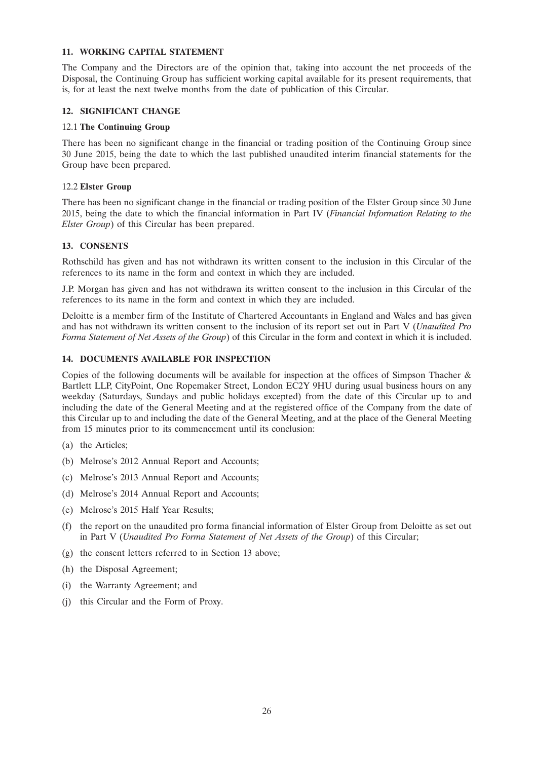# **11. WORKING CAPITAL STATEMENT**

The Company and the Directors are of the opinion that, taking into account the net proceeds of the Disposal, the Continuing Group has sufficient working capital available for its present requirements, that is, for at least the next twelve months from the date of publication of this Circular.

# **12. SIGNIFICANT CHANGE**

# 12.1 **The Continuing Group**

There has been no significant change in the financial or trading position of the Continuing Group since 30 June 2015, being the date to which the last published unaudited interim financial statements for the Group have been prepared.

# 12.2 **Elster Group**

There has been no significant change in the financial or trading position of the Elster Group since 30 June 2015, being the date to which the financial information in Part IV (*Financial Information Relating to the Elster Group*) of this Circular has been prepared.

# **13. CONSENTS**

Rothschild has given and has not withdrawn its written consent to the inclusion in this Circular of the references to its name in the form and context in which they are included.

J.P. Morgan has given and has not withdrawn its written consent to the inclusion in this Circular of the references to its name in the form and context in which they are included.

Deloitte is a member firm of the Institute of Chartered Accountants in England and Wales and has given and has not withdrawn its written consent to the inclusion of its report set out in Part V (*Unaudited Pro Forma Statement of Net Assets of the Group*) of this Circular in the form and context in which it is included.

# **14. DOCUMENTS AVAILABLE FOR INSPECTION**

Copies of the following documents will be available for inspection at the offices of Simpson Thacher  $\&$ Bartlett LLP, CityPoint, One Ropemaker Street, London EC2Y 9HU during usual business hours on any weekday (Saturdays, Sundays and public holidays excepted) from the date of this Circular up to and including the date of the General Meeting and at the registered office of the Company from the date of this Circular up to and including the date of the General Meeting, and at the place of the General Meeting from 15 minutes prior to its commencement until its conclusion:

- (a) the Articles;
- (b) Melrose's 2012 Annual Report and Accounts;
- (c) Melrose's 2013 Annual Report and Accounts;
- (d) Melrose's 2014 Annual Report and Accounts;
- (e) Melrose's 2015 Half Year Results;
- (f) the report on the unaudited pro forma financial information of Elster Group from Deloitte as set out in Part V (*Unaudited Pro Forma Statement of Net Assets of the Group*) of this Circular;
- (g) the consent letters referred to in Section 13 above;
- (h) the Disposal Agreement;
- (i) the Warranty Agreement; and
- (j) this Circular and the Form of Proxy.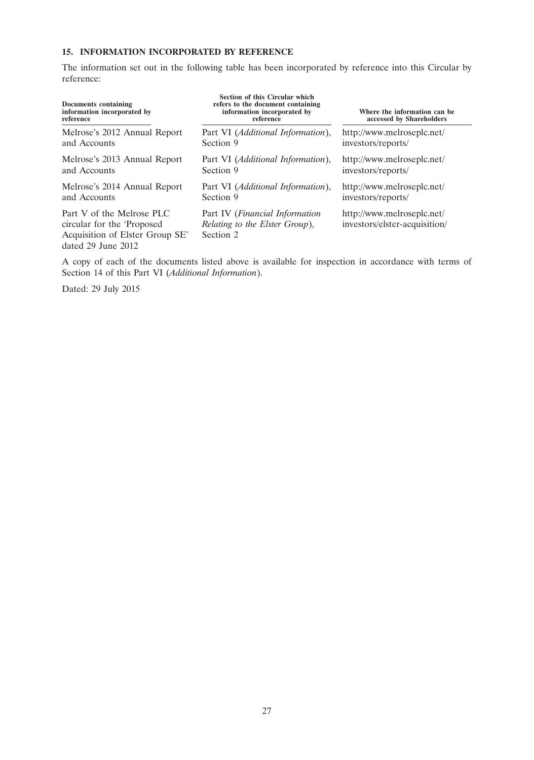# **15. INFORMATION INCORPORATED BY REFERENCE**

The information set out in the following table has been incorporated by reference into this Circular by reference:

| Documents containing<br>information incorporated by<br>reference                                                 | Section of this Circular which<br>refers to the document containing<br>information incorporated by<br>reference | Where the information can be<br>accessed by Shareholders    |
|------------------------------------------------------------------------------------------------------------------|-----------------------------------------------------------------------------------------------------------------|-------------------------------------------------------------|
| Melrose's 2012 Annual Report                                                                                     | Part VI (Additional Information),                                                                               | http://www.melroseplc.net/                                  |
| and Accounts                                                                                                     | Section 9                                                                                                       | investors/reports/                                          |
| Melrose's 2013 Annual Report                                                                                     | Part VI (Additional Information),                                                                               | http://www.melroseplc.net/                                  |
| and Accounts                                                                                                     | Section 9                                                                                                       | investors/reports/                                          |
| Melrose's 2014 Annual Report                                                                                     | Part VI (Additional Information),                                                                               | http://www.melroseplc.net/                                  |
| and Accounts                                                                                                     | Section 9                                                                                                       | investors/reports/                                          |
| Part V of the Melrose PLC<br>circular for the 'Proposed<br>Acquisition of Elster Group SE'<br>dated 29 June 2012 | Part IV (Financial Information<br>Relating to the Elster Group),<br>Section 2                                   | http://www.melroseplc.net/<br>investors/elster-acquisition/ |

A copy of each of the documents listed above is available for inspection in accordance with terms of Section 14 of this Part VI (*Additional Information*).

Dated: 29 July 2015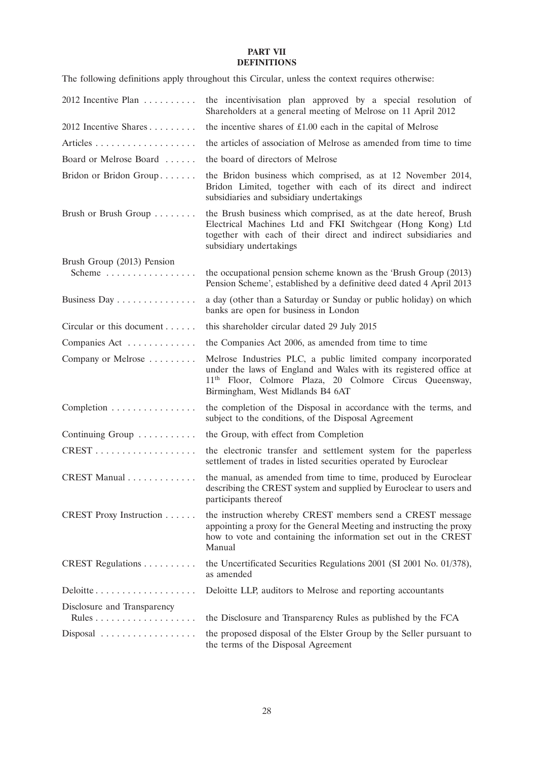# **PART VII DEFINITIONS**

The following definitions apply throughout this Circular, unless the context requires otherwise:

| 2012 Incentive Plan         | the incentivisation plan approved by a special resolution of<br>Shareholders at a general meeting of Melrose on 11 April 2012                                                                                                                 |
|-----------------------------|-----------------------------------------------------------------------------------------------------------------------------------------------------------------------------------------------------------------------------------------------|
| 2012 Incentive Shares       | the incentive shares of £1.00 each in the capital of Melrose                                                                                                                                                                                  |
|                             | the articles of association of Melrose as amended from time to time                                                                                                                                                                           |
| Board or Melrose Board      | the board of directors of Melrose                                                                                                                                                                                                             |
| Bridon or Bridon Group      | the Bridon business which comprised, as at 12 November 2014,<br>Bridon Limited, together with each of its direct and indirect<br>subsidiaries and subsidiary undertakings                                                                     |
| Brush or Brush Group        | the Brush business which comprised, as at the date hereof, Brush<br>Electrical Machines Ltd and FKI Switchgear (Hong Kong) Ltd<br>together with each of their direct and indirect subsidiaries and<br>subsidiary undertakings                 |
| Brush Group (2013) Pension  |                                                                                                                                                                                                                                               |
| Scheme                      | the occupational pension scheme known as the 'Brush Group (2013)<br>Pension Scheme', established by a definitive deed dated 4 April 2013                                                                                                      |
| Business Day                | a day (other than a Saturday or Sunday or public holiday) on which<br>banks are open for business in London                                                                                                                                   |
| Circular or this document   | this shareholder circular dated 29 July 2015                                                                                                                                                                                                  |
| Companies Act               | the Companies Act 2006, as amended from time to time                                                                                                                                                                                          |
| Company or Melrose          | Melrose Industries PLC, a public limited company incorporated<br>under the laws of England and Wales with its registered office at<br>11 <sup>th</sup> Floor, Colmore Plaza, 20 Colmore Circus Queensway,<br>Birmingham, West Midlands B4 6AT |
| Completion                  | the completion of the Disposal in accordance with the terms, and<br>subject to the conditions, of the Disposal Agreement                                                                                                                      |
| Continuing Group            | the Group, with effect from Completion                                                                                                                                                                                                        |
| CREST                       | the electronic transfer and settlement system for the paperless<br>settlement of trades in listed securities operated by Euroclear                                                                                                            |
| CREST Manual                | the manual, as amended from time to time, produced by Euroclear<br>describing the CREST system and supplied by Euroclear to users and<br>participants thereof                                                                                 |
| CREST Proxy Instruction     | the instruction whereby CREST members send a CREST message<br>appointing a proxy for the General Meeting and instructing the proxy<br>how to vote and containing the information set out in the CREST<br>Manual                               |
| CREST Regulations           | the Uncertificated Securities Regulations 2001 (SI 2001 No. 01/378),<br>as amended                                                                                                                                                            |
| Deloitte                    | Deloitte LLP, auditors to Melrose and reporting accountants                                                                                                                                                                                   |
| Disclosure and Transparency | the Disclosure and Transparency Rules as published by the FCA                                                                                                                                                                                 |
| Disposal                    | the proposed disposal of the Elster Group by the Seller pursuant to<br>the terms of the Disposal Agreement                                                                                                                                    |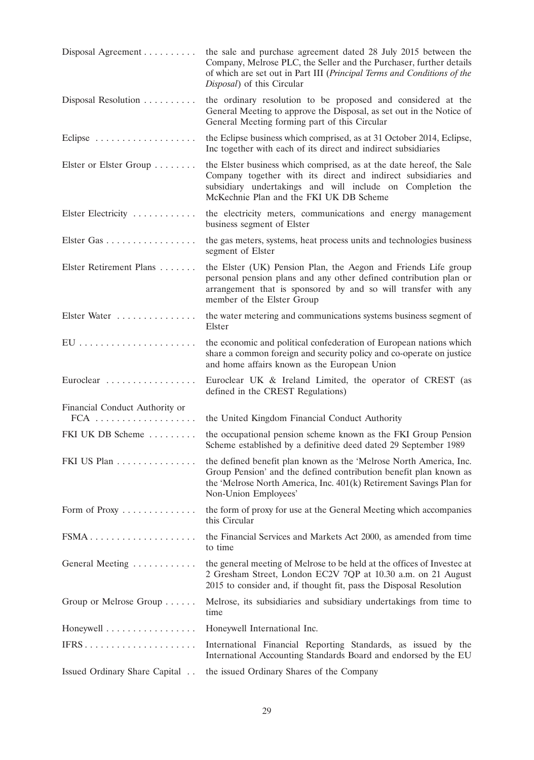| Disposal Agreement             | the sale and purchase agreement dated 28 July 2015 between the<br>Company, Melrose PLC, the Seller and the Purchaser, further details<br>of which are set out in Part III (Principal Terms and Conditions of the<br>Disposal) of this Circular  |
|--------------------------------|-------------------------------------------------------------------------------------------------------------------------------------------------------------------------------------------------------------------------------------------------|
| Disposal Resolution            | the ordinary resolution to be proposed and considered at the<br>General Meeting to approve the Disposal, as set out in the Notice of<br>General Meeting forming part of this Circular                                                           |
|                                | the Eclipse business which comprised, as at 31 October 2014, Eclipse,<br>Inc together with each of its direct and indirect subsidiaries                                                                                                         |
| Elster or Elster Group         | the Elster business which comprised, as at the date hereof, the Sale<br>Company together with its direct and indirect subsidiaries and<br>subsidiary undertakings and will include on Completion the<br>McKechnie Plan and the FKI UK DB Scheme |
| Elster Electricity             | the electricity meters, communications and energy management<br>business segment of Elster                                                                                                                                                      |
| Elster Gas                     | the gas meters, systems, heat process units and technologies business<br>segment of Elster                                                                                                                                                      |
| Elster Retirement Plans        | the Elster (UK) Pension Plan, the Aegon and Friends Life group<br>personal pension plans and any other defined contribution plan or<br>arrangement that is sponsored by and so will transfer with any<br>member of the Elster Group             |
| Elster Water                   | the water metering and communications systems business segment of<br>Elster                                                                                                                                                                     |
|                                | the economic and political confederation of European nations which<br>share a common foreign and security policy and co-operate on justice<br>and home affairs known as the European Union                                                      |
| Euroclear                      | Euroclear UK & Ireland Limited, the operator of CREST (as<br>defined in the CREST Regulations)                                                                                                                                                  |
| Financial Conduct Authority or |                                                                                                                                                                                                                                                 |
|                                | the United Kingdom Financial Conduct Authority                                                                                                                                                                                                  |
| FKI UK DB Scheme               | the occupational pension scheme known as the FKI Group Pension<br>Scheme established by a definitive deed dated 29 September 1989                                                                                                               |
| FKI US Plan                    | the defined benefit plan known as the 'Melrose North America, Inc.<br>Group Pension' and the defined contribution benefit plan known as<br>the 'Melrose North America, Inc. 401(k) Retirement Savings Plan for<br>Non-Union Employees'          |
| Form of Proxy                  | the form of proxy for use at the General Meeting which accompanies<br>this Circular                                                                                                                                                             |
| FSMA                           | the Financial Services and Markets Act 2000, as amended from time<br>to time                                                                                                                                                                    |
| General Meeting                | the general meeting of Melrose to be held at the offices of Invested at<br>2 Gresham Street, London EC2V 7QP at 10.30 a.m. on 21 August<br>2015 to consider and, if thought fit, pass the Disposal Resolution                                   |
| Group or Melrose Group         | Melrose, its subsidiaries and subsidiary undertakings from time to<br>time                                                                                                                                                                      |
| Honeywell                      | Honeywell International Inc.                                                                                                                                                                                                                    |
|                                | International Financial Reporting Standards, as issued by the<br>International Accounting Standards Board and endorsed by the EU                                                                                                                |
| Issued Ordinary Share Capital  | the issued Ordinary Shares of the Company                                                                                                                                                                                                       |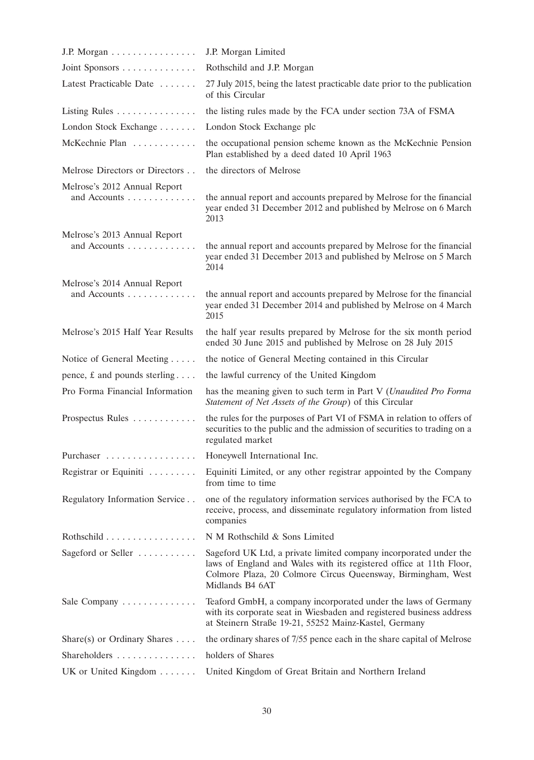| J.P. Morgan $\dots \dots \dots \dots \dots$  | J.P. Morgan Limited                                                                                                                                                                                                         |
|----------------------------------------------|-----------------------------------------------------------------------------------------------------------------------------------------------------------------------------------------------------------------------------|
| Joint Sponsors                               | Rothschild and J.P. Morgan                                                                                                                                                                                                  |
| Latest Practicable Date                      | 27 July 2015, being the latest practicable date prior to the publication<br>of this Circular                                                                                                                                |
| Listing Rules                                | the listing rules made by the FCA under section 73A of FSMA                                                                                                                                                                 |
| London Stock Exchange                        | London Stock Exchange plc                                                                                                                                                                                                   |
| McKechnie Plan                               | the occupational pension scheme known as the McKechnie Pension<br>Plan established by a deed dated 10 April 1963                                                                                                            |
| Melrose Directors or Directors               | the directors of Melrose                                                                                                                                                                                                    |
| Melrose's 2012 Annual Report<br>and Accounts | the annual report and accounts prepared by Melrose for the financial<br>year ended 31 December 2012 and published by Melrose on 6 March<br>2013                                                                             |
| Melrose's 2013 Annual Report<br>and Accounts | the annual report and accounts prepared by Melrose for the financial<br>year ended 31 December 2013 and published by Melrose on 5 March<br>2014                                                                             |
| Melrose's 2014 Annual Report<br>and Accounts | the annual report and accounts prepared by Melrose for the financial<br>year ended 31 December 2014 and published by Melrose on 4 March<br>2015                                                                             |
| Melrose's 2015 Half Year Results             | the half year results prepared by Melrose for the six month period<br>ended 30 June 2015 and published by Melrose on 28 July 2015                                                                                           |
| Notice of General Meeting                    | the notice of General Meeting contained in this Circular                                                                                                                                                                    |
| pence, $\pounds$ and pounds sterling         | the lawful currency of the United Kingdom                                                                                                                                                                                   |
| Pro Forma Financial Information              | has the meaning given to such term in Part V (Unaudited Pro Forma<br>Statement of Net Assets of the Group) of this Circular                                                                                                 |
| Prospectus Rules                             | the rules for the purposes of Part VI of FSMA in relation to offers of<br>securities to the public and the admission of securities to trading on a<br>regulated market                                                      |
| Purchaser                                    | Honeywell International Inc.                                                                                                                                                                                                |
| Registrar or Equiniti                        | Equiniti Limited, or any other registrar appointed by the Company<br>from time to time                                                                                                                                      |
| Regulatory Information Service               | one of the regulatory information services authorised by the FCA to<br>receive, process, and disseminate regulatory information from listed<br>companies                                                                    |
| Rothschild                                   | N M Rothschild & Sons Limited                                                                                                                                                                                               |
| Sageford or Seller                           | Sageford UK Ltd, a private limited company incorporated under the<br>laws of England and Wales with its registered office at 11th Floor,<br>Colmore Plaza, 20 Colmore Circus Queensway, Birmingham, West<br>Midlands B4 6AT |
| Sale Company                                 | Teaford GmbH, a company incorporated under the laws of Germany<br>with its corporate seat in Wiesbaden and registered business address<br>at Steinern Straße 19-21, 55252 Mainz-Kastel, Germany                             |
| Share(s) or Ordinary Shares                  | the ordinary shares of 7/55 pence each in the share capital of Melrose                                                                                                                                                      |
| Shareholders                                 | holders of Shares                                                                                                                                                                                                           |
| UK or United Kingdom                         | United Kingdom of Great Britain and Northern Ireland                                                                                                                                                                        |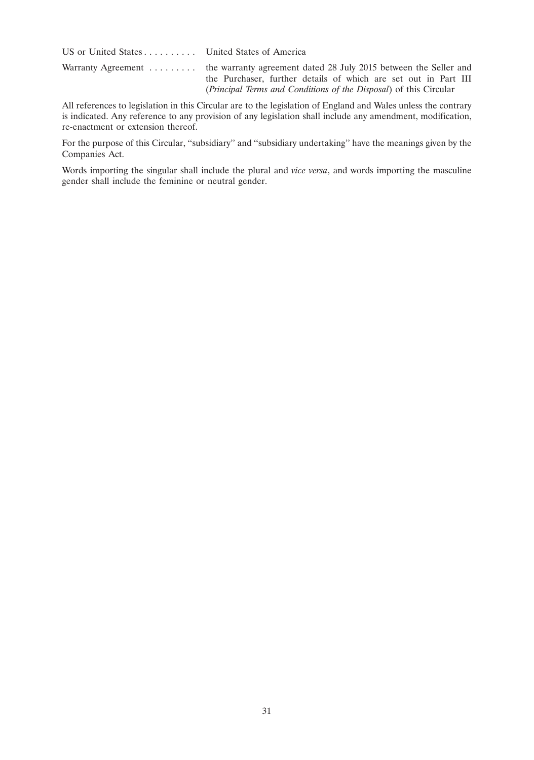US or United States . . . . . . . . . United States of America Warranty Agreement ......... the warranty agreement dated 28 July 2015 between the Seller and the Purchaser, further details of which are set out in Part III (*Principal Terms and Conditions of the Disposal*) of this Circular

All references to legislation in this Circular are to the legislation of England and Wales unless the contrary is indicated. Any reference to any provision of any legislation shall include any amendment, modification, re-enactment or extension thereof.

For the purpose of this Circular, ''subsidiary'' and ''subsidiary undertaking'' have the meanings given by the Companies Act.

Words importing the singular shall include the plural and *vice versa*, and words importing the masculine gender shall include the feminine or neutral gender.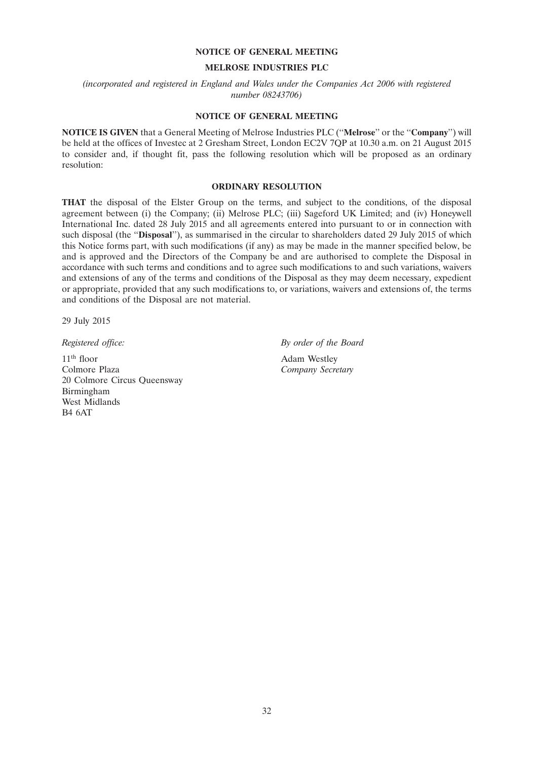#### **NOTICE OF GENERAL MEETING**

# **MELROSE INDUSTRIES PLC**

*(incorporated and registered in England and Wales under the Companies Act 2006 with registered number 08243706)*

# **NOTICE OF GENERAL MEETING**

**NOTICE IS GIVEN** that a General Meeting of Melrose Industries PLC (''**Melrose**'' or the ''**Company**'') will be held at the offices of Investec at 2 Gresham Street, London EC2V 7QP at 10.30 a.m. on 21 August 2015 to consider and, if thought fit, pass the following resolution which will be proposed as an ordinary resolution:

# **ORDINARY RESOLUTION**

**THAT** the disposal of the Elster Group on the terms, and subject to the conditions, of the disposal agreement between (i) the Company; (ii) Melrose PLC; (iii) Sageford UK Limited; and (iv) Honeywell International Inc. dated 28 July 2015 and all agreements entered into pursuant to or in connection with such disposal (the "**Disposal**"), as summarised in the circular to shareholders dated 29 July 2015 of which this Notice forms part, with such modifications (if any) as may be made in the manner specified below, be and is approved and the Directors of the Company be and are authorised to complete the Disposal in accordance with such terms and conditions and to agree such modifications to and such variations, waivers and extensions of any of the terms and conditions of the Disposal as they may deem necessary, expedient or appropriate, provided that any such modifications to, or variations, waivers and extensions of, the terms and conditions of the Disposal are not material.

29 July 2015

11<sup>th</sup> floor<br>
Colmore Plaza<br>
Company Secret 20 Colmore Circus Queensway Birmingham West Midlands B4 6AT

*Registered office: By order of the Board*

 $Companv$  *Secretary*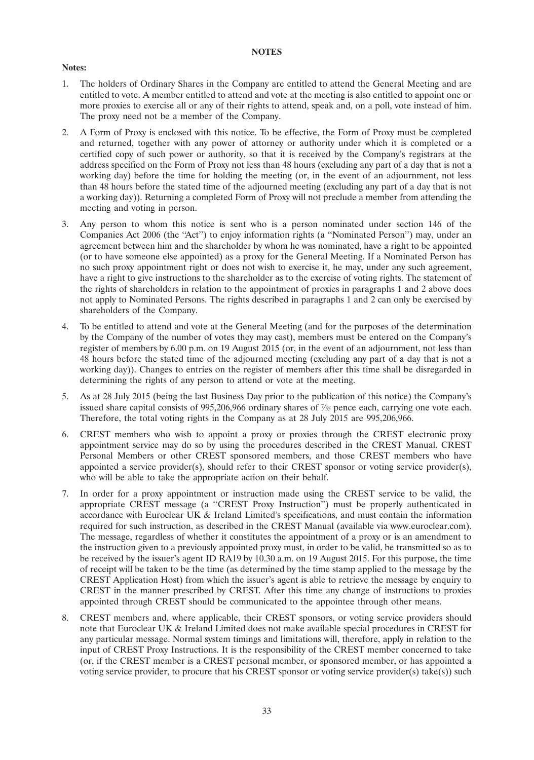#### **NOTES**

# **Notes:**

- 1. The holders of Ordinary Shares in the Company are entitled to attend the General Meeting and are entitled to vote. A member entitled to attend and vote at the meeting is also entitled to appoint one or more proxies to exercise all or any of their rights to attend, speak and, on a poll, vote instead of him. The proxy need not be a member of the Company.
- 2. A Form of Proxy is enclosed with this notice. To be effective, the Form of Proxy must be completed and returned, together with any power of attorney or authority under which it is completed or a certified copy of such power or authority, so that it is received by the Company's registrars at the address specified on the Form of Proxy not less than 48 hours (excluding any part of a day that is not a working day) before the time for holding the meeting (or, in the event of an adjournment, not less than 48 hours before the stated time of the adjourned meeting (excluding any part of a day that is not a working day)). Returning a completed Form of Proxy will not preclude a member from attending the meeting and voting in person.
- 3. Any person to whom this notice is sent who is a person nominated under section 146 of the Companies Act 2006 (the "Act") to enjoy information rights (a "Nominated Person") may, under an agreement between him and the shareholder by whom he was nominated, have a right to be appointed (or to have someone else appointed) as a proxy for the General Meeting. If a Nominated Person has no such proxy appointment right or does not wish to exercise it, he may, under any such agreement, have a right to give instructions to the shareholder as to the exercise of voting rights. The statement of the rights of shareholders in relation to the appointment of proxies in paragraphs 1 and 2 above does not apply to Nominated Persons. The rights described in paragraphs 1 and 2 can only be exercised by shareholders of the Company.
- 4. To be entitled to attend and vote at the General Meeting (and for the purposes of the determination by the Company of the number of votes they may cast), members must be entered on the Company's register of members by 6.00 p.m. on 19 August 2015 (or, in the event of an adjournment, not less than 48 hours before the stated time of the adjourned meeting (excluding any part of a day that is not a working day)). Changes to entries on the register of members after this time shall be disregarded in determining the rights of any person to attend or vote at the meeting.
- 5. As at 28 July 2015 (being the last Business Day prior to the publication of this notice) the Company's issued share capital consists of 995,206,966 ordinary shares of 7⁄55 pence each, carrying one vote each. Therefore, the total voting rights in the Company as at 28 July 2015 are 995,206,966.
- 6. CREST members who wish to appoint a proxy or proxies through the CREST electronic proxy appointment service may do so by using the procedures described in the CREST Manual. CREST Personal Members or other CREST sponsored members, and those CREST members who have appointed a service provider(s), should refer to their CREST sponsor or voting service provider(s), who will be able to take the appropriate action on their behalf.
- 7. In order for a proxy appointment or instruction made using the CREST service to be valid, the appropriate CREST message (a ''CREST Proxy Instruction'') must be properly authenticated in accordance with Euroclear UK & Ireland Limited's specifications, and must contain the information required for such instruction, as described in the CREST Manual (available via www.euroclear.com). The message, regardless of whether it constitutes the appointment of a proxy or is an amendment to the instruction given to a previously appointed proxy must, in order to be valid, be transmitted so as to be received by the issuer's agent ID RA19 by 10.30 a.m. on 19 August 2015. For this purpose, the time of receipt will be taken to be the time (as determined by the time stamp applied to the message by the CREST Application Host) from which the issuer's agent is able to retrieve the message by enquiry to CREST in the manner prescribed by CREST. After this time any change of instructions to proxies appointed through CREST should be communicated to the appointee through other means.
- 8. CREST members and, where applicable, their CREST sponsors, or voting service providers should note that Euroclear UK & Ireland Limited does not make available special procedures in CREST for any particular message. Normal system timings and limitations will, therefore, apply in relation to the input of CREST Proxy Instructions. It is the responsibility of the CREST member concerned to take (or, if the CREST member is a CREST personal member, or sponsored member, or has appointed a voting service provider, to procure that his CREST sponsor or voting service provider(s) take(s)) such